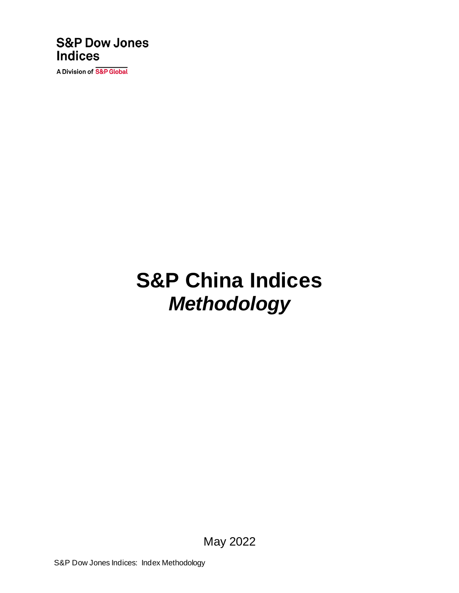

A Division of S&P Global

# **S&P China Indices** *Methodology*

May 2022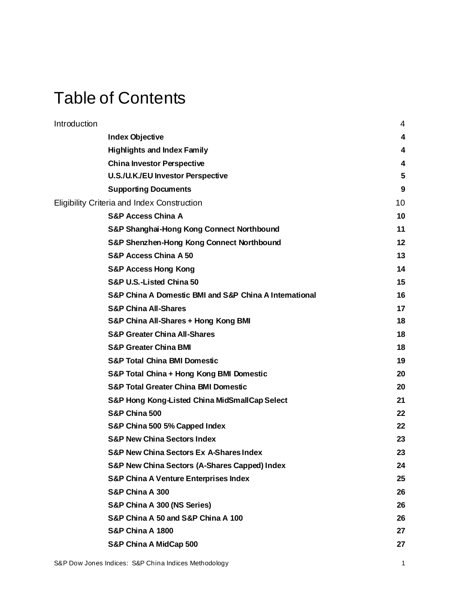# Table of Contents

| Introduction                                           | 4  |
|--------------------------------------------------------|----|
| <b>Index Objective</b>                                 | 4  |
| <b>Highlights and Index Family</b>                     | 4  |
| <b>China Investor Perspective</b>                      | 4  |
| U.S./U.K./EU Investor Perspective                      | 5  |
| <b>Supporting Documents</b>                            | 9  |
| Eligibility Criteria and Index Construction            | 10 |
| <b>S&amp;P Access China A</b>                          | 10 |
| S&P Shanghai-Hong Kong Connect Northbound              | 11 |
| S&P Shenzhen-Hong Kong Connect Northbound              | 12 |
| <b>S&amp;P Access China A 50</b>                       | 13 |
| <b>S&amp;P Access Hong Kong</b>                        | 14 |
| S&P U.S.-Listed China 50                               | 15 |
| S&P China A Domestic BMI and S&P China A International | 16 |
| <b>S&amp;P China All-Shares</b>                        | 17 |
| S&P China All-Shares + Hong Kong BMI                   | 18 |
| <b>S&amp;P Greater China All-Shares</b>                | 18 |
| <b>S&amp;P Greater China BMI</b>                       | 18 |
| <b>S&amp;P Total China BMI Domestic</b>                | 19 |
| S&P Total China + Hong Kong BMI Domestic               | 20 |
| <b>S&amp;P Total Greater China BMI Domestic</b>        | 20 |
| S&P Hong Kong-Listed China MidSmallCap Select          | 21 |
| S&P China 500                                          | 22 |
| S&P China 500 5% Capped Index                          | 22 |
| <b>S&amp;P New China Sectors Index</b>                 | 23 |
| <b>S&amp;P New China Sectors Ex A-Shares Index</b>     | 23 |
| S&P New China Sectors (A-Shares Capped) Index          | 24 |
| <b>S&amp;P China A Venture Enterprises Index</b>       | 25 |
| S&P China A 300                                        | 26 |
| S&P China A 300 (NS Series)                            | 26 |
| S&P China A 50 and S&P China A 100                     | 26 |
| <b>S&amp;P China A 1800</b>                            | 27 |
| S&P China A MidCap 500                                 | 27 |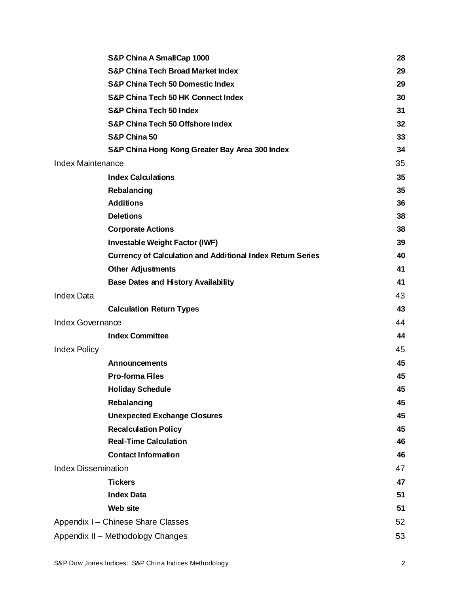|                            | S&P China A SmallCap 1000                                         | 28 |
|----------------------------|-------------------------------------------------------------------|----|
|                            | <b>S&amp;P China Tech Broad Market Index</b>                      | 29 |
|                            | <b>S&amp;P China Tech 50 Domestic Index</b>                       | 29 |
|                            | <b>S&amp;P China Tech 50 HK Connect Index</b>                     | 30 |
|                            | <b>S&amp;P China Tech 50 Index</b>                                | 31 |
|                            | <b>S&amp;P China Tech 50 Offshore Index</b>                       | 32 |
|                            | S&P China 50                                                      | 33 |
|                            | S&P China Hong Kong Greater Bay Area 300 Index                    | 34 |
| <b>Index Maintenance</b>   |                                                                   | 35 |
|                            | <b>Index Calculations</b>                                         | 35 |
|                            | Rebalancing                                                       | 35 |
|                            | <b>Additions</b>                                                  | 36 |
|                            | <b>Deletions</b>                                                  | 38 |
|                            | <b>Corporate Actions</b>                                          | 38 |
|                            | <b>Investable Weight Factor (IWF)</b>                             | 39 |
|                            | <b>Currency of Calculation and Additional Index Return Series</b> | 40 |
|                            | <b>Other Adjustments</b>                                          | 41 |
|                            | <b>Base Dates and History Availability</b>                        | 41 |
| <b>Index Data</b>          |                                                                   | 43 |
|                            | <b>Calculation Return Types</b>                                   | 43 |
| Index Governance           |                                                                   | 44 |
|                            | <b>Index Committee</b>                                            | 44 |
| <b>Index Policy</b>        |                                                                   | 45 |
|                            | <b>Announcements</b>                                              | 45 |
|                            | <b>Pro-forma Files</b>                                            | 45 |
|                            | <b>Holiday Schedule</b>                                           | 45 |
|                            | Rebalancing                                                       | 45 |
|                            | <b>Unexpected Exchange Closures</b>                               | 45 |
|                            | <b>Recalculation Policy</b>                                       | 45 |
|                            | <b>Real-Time Calculation</b>                                      | 46 |
|                            | <b>Contact Information</b>                                        | 46 |
| <b>Index Dissemination</b> |                                                                   | 47 |
|                            | <b>Tickers</b>                                                    | 47 |
|                            | <b>Index Data</b>                                                 | 51 |
|                            | <b>Web site</b>                                                   | 51 |
|                            | Appendix I - Chinese Share Classes                                | 52 |
|                            | Appendix II - Methodology Changes                                 | 53 |
|                            |                                                                   |    |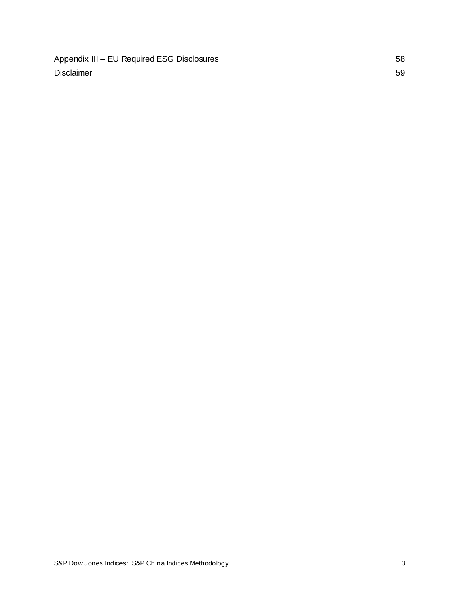Appendix III – [EU Required ESG Disclosures](#page-58-0) 58 [Disclaimer](#page-59-0) 59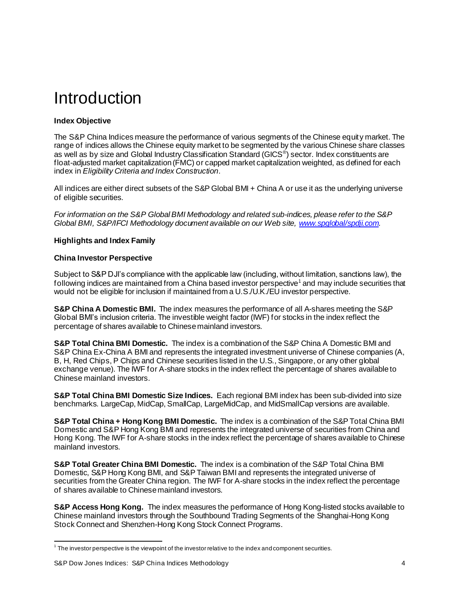# <span id="page-4-0"></span>Introduction

# <span id="page-4-1"></span>**Index Objective**

The S&P China Indices measure the performance of various segments of the Chinese equity market. The range of indices allows the Chinese equity market to be segmented by the various Chinese share classes as well as by size and Global Industry Classification Standard (GICS® ) sector. Index constituents are float-adjusted market capitalization (FMC) or capped market capitalization weighted, as defined for each index in *Eligibility Criteria and Index Construction*.

All indices are either direct subsets of the S&P Global BMI + China A or use it as the underlying universe of eligible securities.

*For information on the S&P Global BMI Methodology and related sub-indices, please refer to the S&P Global BMI, S&P/IFCI Methodology document available on our Web site[, www.spglobal/spdji.com](http://www.spdji.com/).*

### <span id="page-4-2"></span>**Highlights and Index Family**

#### <span id="page-4-3"></span>**China Investor Perspective**

Subject to S&P DJI's compliance with the applicable law (including, without limitation, sanctions law), the following indices are maintained from a China based investor perspective<sup>1</sup> and may include securities that would not be eligible for inclusion if maintained from a U.S./U.K./EU investor perspective.

**S&P China A Domestic BMI.** The index measures the performance of all A-shares meeting the S&P Global BMI's inclusion criteria. The investible weight factor (IWF) for stocks in the index reflect the percentage of shares available to Chinese mainland investors.

**S&P Total China BMI Domestic.** The index is a combination of the S&P China A Domestic BMI and S&P China Ex-China A BMI and represents the integrated investment universe of Chinese companies (A, B, H, Red Chips, P Chips and Chinese securities listed in the U.S., Singapore, or any other global exchange venue). The IWF for A-share stocks in the index reflect the percentage of shares available to Chinese mainland investors.

**S&P Total China BMI Domestic Size Indices.** Each regional BMI index has been sub-divided into size benchmarks. LargeCap, MidCap, SmallCap, LargeMidCap, and MidSmallCap versions are available.

**S&P Total China + Hong Kong BMI Domestic.** The index is a combination of the S&P Total China BMI Domestic and S&P Hong Kong BMI and represents the integrated universe of securities from China and Hong Kong. The IWF for A-share stocks in the index reflect the percentage of shares available to Chinese mainland investors.

**S&P Total Greater China BMI Domestic.** The index is a combination of the S&P Total China BMI Domestic, S&P Hong Kong BMI, and S&P Taiwan BMI and represents the integrated universe of securities from the Greater China region. The IWF for A-share stocks in the index reflect the percentage of shares available to Chinese mainland investors.

**S&P Access Hong Kong.** The index measures the performance of Hong Kong-listed stocks available to Chinese mainland investors through the Southbound Trading Segments of the Shanghai-Hong Kong Stock Connect and Shenzhen-Hong Kong Stock Connect Programs.

 $^{\rm 1}$  The investor perspective is the viewpoint of the investor relative to the index and component securities.

S&P Dow Jones Indices: S&P China Indices Methodology 4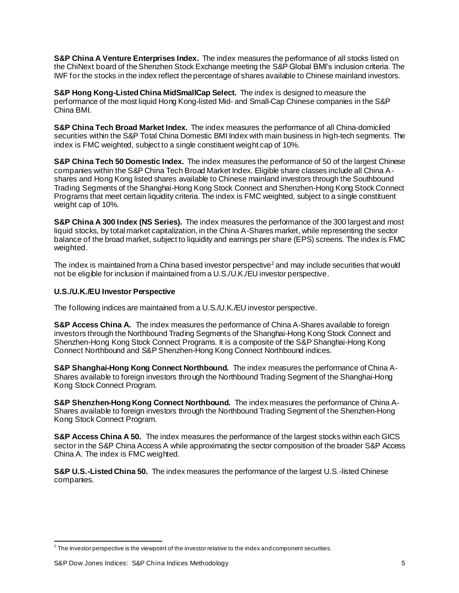**S&P China A Venture Enterprises Index.** The index measures the performance of all stocks listed on the ChiNext board of the Shenzhen Stock Exchange meeting the S&P Global BMI's inclusion criteria. The IWF for the stocks in the index reflect the percentage of shares available to Chinese mainland investors.

**S&P Hong Kong-Listed China MidSmallCap Select.** The index is designed to measure the performance of the most liquid Hong Kong-listed Mid- and Small-Cap Chinese companies in the S&P China BMI.

**S&P China Tech Broad Market Index.** The index measures the performance of all China-domiciled securities within the S&P Total China Domestic BMI Index with main business in high-tech segments. The index is FMC weighted, subject to a single constituent weight cap of 10%.

**S&P China Tech 50 Domestic Index.** The index measures the performance of 50 of the largest Chinese companies within the S&P China Tech Broad Market Index. Eligible share classes include all China Ashares and Hong Kong listed shares available to Chinese mainland investors through the Southbound Trading Segments of the Shanghai-Hong Kong Stock Connect and Shenzhen-Hong Kong Stock Connect Programs that meet certain liquidity criteria. The index is FMC weighted, subject to a single constituent weight cap of 10%.

**S&P China A 300 Index (NS Series).** The index measures the performance of the 300 largest and most liquid stocks, by total market capitalization, in the China A-Shares market, while representing the sector balance of the broad market, subject to liquidity and earnings per share (EPS) screens. The index is FMC weighted.

The index is maintained from a China based investor perspective<sup>2</sup> and may include securities that would not be eligible for inclusion if maintained from a U.S./U.K./EU investor perspective.

### <span id="page-5-0"></span>**U.S./U.K./EU Investor Perspective**

The following indices are maintained from a U.S./U.K./EU investor perspective.

**S&P Access China A.** The index measures the performance of China A-Shares available to foreign investors through the Northbound Trading Segments of the Shanghai-Hong Kong Stock Connect and Shenzhen-Hong Kong Stock Connect Programs. It is a composite of the S&P Shanghai-Hong Kong Connect Northbound and S&P Shenzhen-Hong Kong Connect Northbound indices.

**S&P Shanghai-Hong Kong Connect Northbound.** The index measures the performance of China A-Shares available to foreign investors through the Northbound Trading Segment of the Shanghai-Hong Kong Stock Connect Program.

**S&P Shenzhen-Hong Kong Connect Northbound.** The index measures the performance of China A-Shares available to foreign investors through the Northbound Trading Segment of the Shenzhen-Hong Kong Stock Connect Program.

**S&P Access China A 50.** The index measures the performance of the largest stocks within each GICS sector in the S&P China Access A while approximating the sector composition of the broader S&P Access China A. The index is FMC weighted.

**S&P U.S.-Listed China 50.** The index measures the performance of the largest U.S.-listed Chinese companies.

 $^{\rm 2}$  The investor perspective is the viewpoint of the investor relative to the index and component securities.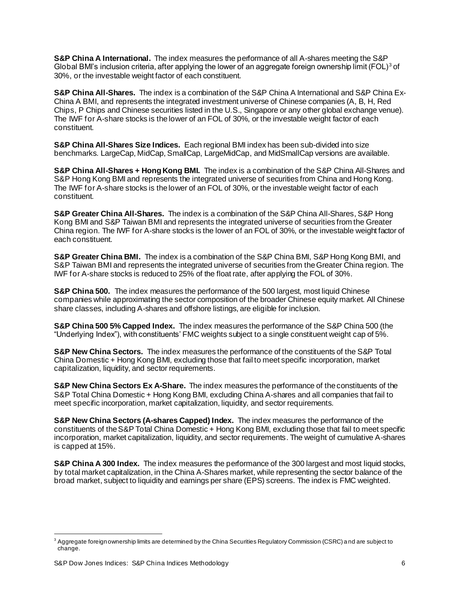**S&P China A International.** The index measures the performance of all A-shares meeting the S&P Global BMI's inclusion criteria, after applying the lower of an aggregate foreign ownership limit (FOL)<sup>3</sup> of 30%, or the investable weight factor of each constituent.

**S&P China All-Shares.** The index is a combination of the S&P China A International and S&P China Ex-China A BMI, and represents the integrated investment universe of Chinese companies (A, B, H, Red Chips, P Chips and Chinese securities listed in the U.S., Singapore or any other global exchange venue). The IWF for A-share stocks is the lower of an FOL of 30%, or the investable weight factor of each constituent.

**S&P China All-Shares Size Indices.** Each regional BMI index has been sub-divided into size benchmarks. LargeCap, MidCap, SmallCap, LargeMidCap, and MidSmallCap versions are available.

**S&P China All-Shares + Hong Kong BMI.** The index is a combination of the S&P China All-Shares and S&P Hong Kong BMI and represents the integrated universe of securities from China and Hong Kong. The IWF for A-share stocks is the lower of an FOL of 30%, or the investable weight factor of each constituent.

**S&P Greater China All-Shares.** The index is a combination of the S&P China All-Shares, S&P Hong Kong BMI and S&P Taiwan BMI and represents the integrated universe of securities from the Greater China region. The IWF for A-share stocks is the lower of an FOL of 30%, or the investable weight factor of each constituent.

**S&P Greater China BMI.** The index is a combination of the S&P China BMI, S&P Hong Kong BMI, and S&P Taiwan BMI and represents the integrated universe of securities from the Greater China region. The IWF for A-share stocks is reduced to 25% of the float rate, after applying the FOL of 30%.

**S&P China 500.** The index measures the performance of the 500 largest, most liquid Chinese companies while approximating the sector composition of the broader Chinese equity market. All Chinese share classes, including A-shares and offshore listings, are eligible for inclusion.

**S&P China 500 5% Capped Index.** The index measures the performance of the S&P China 500 (the "Underlying Index"), with constituents' FMC weights subject to a single constituent weight cap of 5%.

**S&P New China Sectors.** The index measures the performance of the constituents of the S&P Total China Domestic + Hong Kong BMI, excluding those that fail to meet specific incorporation, market capitalization, liquidity, and sector requirements.

**S&P New China Sectors Ex A-Share.** The index measures the performance of the constituents of the S&P Total China Domestic + Hong Kong BMI, excluding China A-shares and all companies that fail to meet specific incorporation, market capitalization, liquidity, and sector requirements.

**S&P New China Sectors (A-shares Capped) Index.** The index measures the performance of the constituents of the S&P Total China Domestic + Hong Kong BMI, excluding those that fail to meet specific incorporation, market capitalization, liquidity, and sector requirements. The weight of cumulative A-shares is capped at 15%.

**S&P China A 300 Index.** The index measures the performance of the 300 largest and most liquid stocks, by total market capitalization, in the China A-Shares market, while representing the sector balance of the broad market, subject to liquidity and earnings per share (EPS) screens. The index is FMC weighted.

 $3$  Aggregate foreign ownership limits are determined by the China Securities Regulatory Commission (CSRC) and are subject to change.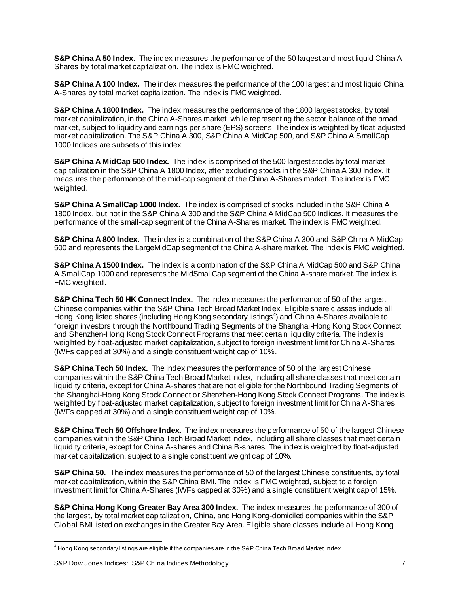**S&P China A 50 Index.** The index measures the performance of the 50 largest and most liquid China A-Shares by total market capitalization. The index is FMC weighted.

**S&P China A 100 Index.** The index measures the performance of the 100 largest and most liquid China A-Shares by total market capitalization. The index is FMC weighted.

**S&P China A 1800 Index.** The index measures the performance of the 1800 largest stocks, by total market capitalization, in the China A-Shares market, while representing the sector balance of the broad market, subject to liquidity and earnings per share (EPS) screens. The index is weighted by float-adjusted market capitalization. The S&P China A 300, S&P China A MidCap 500, and S&P China A SmallCap 1000 Indices are subsets of this index.

**S&P China A MidCap 500 Index.** The index is comprised of the 500 largest stocks by total market capitalization in the S&P China A 1800 Index, after excluding stocks in the S&P China A 300 Index. It measures the performance of the mid-cap segment of the China A-Shares market. The index is FMC weighted.

**S&P China A SmallCap 1000 Index.** The index is comprised of stocks included in the S&P China A 1800 Index, but not in the S&P China A 300 and the S&P China A MidCap 500 Indices. It measures the performance of the small-cap segment of the China A-Shares market. The index is FMC weighted.

**S&P China A 800 Index.** The index is a combination of the S&P China A 300 and S&P China A MidCap 500 and represents the LargeMidCap segment of the China A-share market. The index is FMC weighted.

**S&P China A 1500 Index.** The index is a combination of the S&P China A MidCap 500 and S&P China A SmallCap 1000 and represents the MidSmallCap segment of the China A-share market. The index is FMC weighted.

**S&P China Tech 50 HK Connect Index.** The index measures the performance of 50 of the largest Chinese companies within the S&P China Tech Broad Market Index. Eligible share classes include all Hong Kong listed shares (including Hong Kong secondary listings<sup>4</sup>) and China A-Shares available to foreign investors through the Northbound Trading Segments of the Shanghai-Hong Kong Stock Connect and Shenzhen-Hong Kong Stock Connect Programs that meet certain liquidity criteria. The index is weighted by float-adjusted market capitalization, subject to foreign investment limit for China A-Shares (IWFs capped at 30%) and a single constituent weight cap of 10%.

**S&P China Tech 50 Index.** The index measures the performance of 50 of the largest Chinese companies within the S&P China Tech Broad Market Index, including all share classes that meet certain liquidity criteria, except for China A-shares that are not eligible for the Northbound Trading Segments of the Shanghai-Hong Kong Stock Connect or Shenzhen-Hong Kong Stock Connect Programs. The index is weighted by float-adjusted market capitalization, subject to foreign investment limit for China A-Shares (IWFs capped at 30%) and a single constituent weight cap of 10%.

**S&P China Tech 50 Offshore Index.** The index measures the performance of 50 of the largest Chinese companies within the S&P China Tech Broad Market Index, including all share classes that meet certain liquidity criteria, except for China A-shares and China B-shares. The index is weighted by float-adjusted market capitalization, subject to a single constituent weight cap of 10%.

**S&P China 50.** The index measures the performance of 50 of the largest Chinese constituents, by total market capitalization, within the S&P China BMI. The index is FMC weighted, subject to a foreign investment limit for China A-Shares (IWFs capped at 30%) and a single constituent weight cap of 15%.

**S&P China Hong Kong Greater Bay Area 300 Index.** The index measures the performance of 300 of the largest, by total market capitalization, China, and Hong Kong-domiciled companies within the S&P Global BMI listed on exchanges in the Greater Bay Area. Eligible share classes include all Hong Kong

<sup>4</sup> Hong Kong secondary listings are eligible if the companies are in the S&P China Tech Broad Market Index.

S&P Dow Jones Indices: S&P China Indices Methodology **7** 2012 12:30 12:30 12:30 12:30 12:30 12:30 12:30 12:30 12:30 12:30 12:30 12:30 12:30 12:30 12:30 12:30 12:30 12:30 12:30 12:30 12:30 12:30 12:30 12:30 12:30 12:30 12:3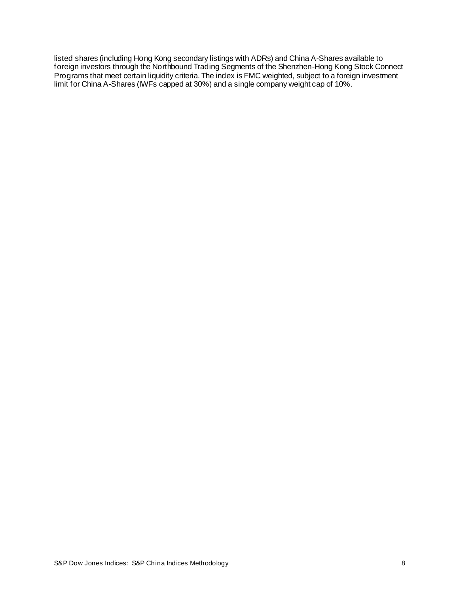listed shares (including Hong Kong secondary listings with ADRs) and China A-Shares available to foreign investors through the Northbound Trading Segments of the Shenzhen-Hong Kong Stock Connect Programs that meet certain liquidity criteria. The index is FMC weighted, subject to a foreign investment limit for China A-Shares (IWFs capped at 30%) and a single company weight cap of 10%.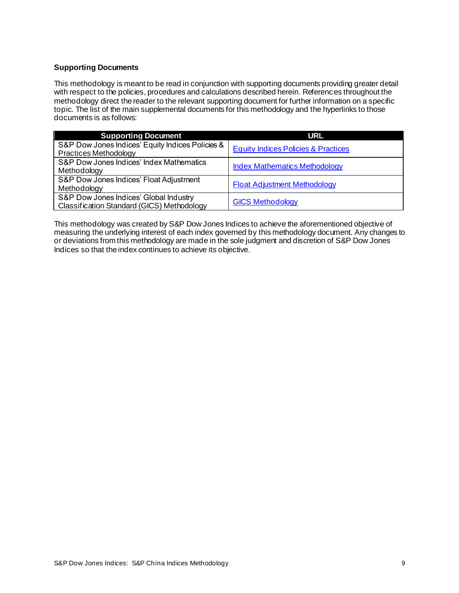### <span id="page-9-0"></span>**Supporting Documents**

This methodology is meant to be read in conjunction with supporting documents providing greater detail with respect to the policies, procedures and calculations described herein. References throughout the methodology direct the reader to the relevant supporting document for further information on a specific topic. The list of the main supplemental documents for this methodology and the hyperlinks to those documents is as follows:

| <b>Supporting Document</b>                       | <b>URL</b>                                     |
|--------------------------------------------------|------------------------------------------------|
| S&P Dow Jones Indices' Equity Indices Policies & | <b>Equity Indices Policies &amp; Practices</b> |
| <b>Practices Methodology</b>                     |                                                |
| S&P Dow Jones Indices' Index Mathematics         |                                                |
| Methodology                                      | <b>Index Mathematics Methodology</b>           |
| S&P Dow Jones Indices' Float Adjustment          |                                                |
| Methodology                                      | <b>Float Adjustment Methodology</b>            |
| S&P Dow Jones Indices' Global Industry           |                                                |
| Classification Standard (GICS) Methodology       | <b>GICS Methodology</b>                        |

This methodology was created by S&P Dow Jones Indices to achieve the aforementioned objective of measuring the underlying interest of each index governed by this methodology document. Any changes to or deviations from this methodology are made in the sole judgment and discretion of S&P Dow Jones Indices so that the index continues to achieve its objective.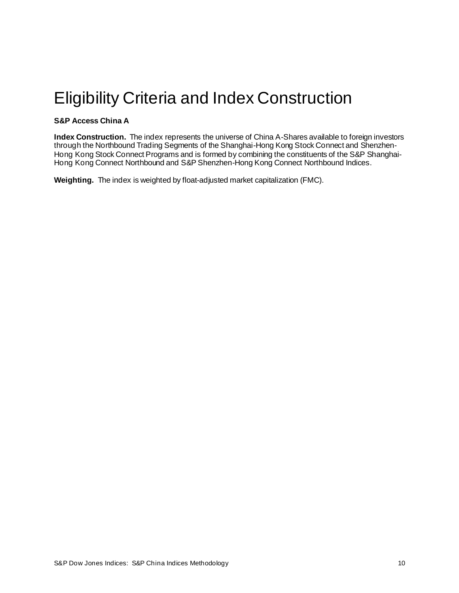# <span id="page-10-0"></span>Eligibility Criteria and Index Construction

# <span id="page-10-1"></span>**S&P Access China A**

**Index Construction.** The index represents the universe of China A-Shares available to foreign investors through the Northbound Trading Segments of the Shanghai-Hong Kong Stock Connect and Shenzhen-Hong Kong Stock Connect Programs and is formed by combining the constituents of the S&P Shanghai-Hong Kong Connect Northbound and S&P Shenzhen-Hong Kong Connect Northbound Indices.

**Weighting.** The index is weighted by float-adjusted market capitalization (FMC).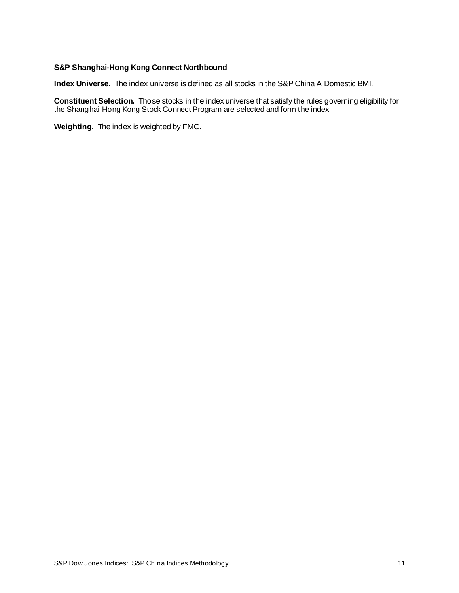#### <span id="page-11-0"></span>**S&P Shanghai-Hong Kong Connect Northbound**

**Index Universe.** The index universe is defined as all stocks in the S&P China A Domestic BMI.

**Constituent Selection.** Those stocks in the index universe that satisfy the rules governing eligibility for the Shanghai-Hong Kong Stock Connect Program are selected and form the index.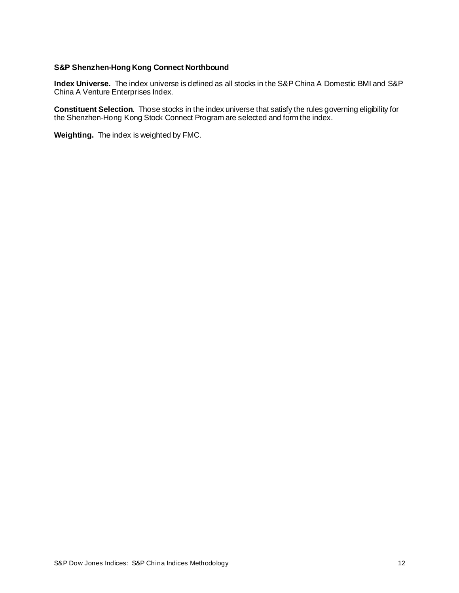#### <span id="page-12-0"></span>**S&P Shenzhen-Hong Kong Connect Northbound**

**Index Universe.** The index universe is defined as all stocks in the S&P China A Domestic BMI and S&P China A Venture Enterprises Index.

**Constituent Selection.** Those stocks in the index universe that satisfy the rules governing eligibility for the Shenzhen-Hong Kong Stock Connect Program are selected and form the index.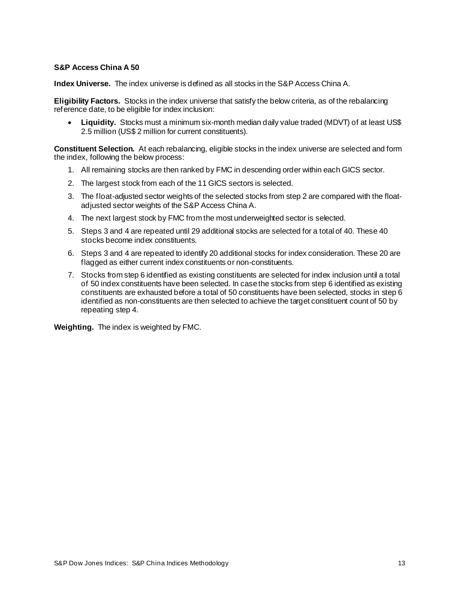#### <span id="page-13-0"></span>**S&P Access China A 50**

**Index Universe.** The index universe is defined as all stocks in the S&P Access China A.

**Eligibility Factors.** Stocks in the index universe that satisfy the below criteria, as of the rebalancing reference date, to be eligible for index inclusion:

• **Liquidity.** Stocks must a minimum six-month median daily value traded (MDVT) of at least US\$ 2.5 million (US\$ 2 million for current constituents).

**Constituent Selection.** At each rebalancing, eligible stocks in the index universe are selected and form the index, following the below process:

- 1. All remaining stocks are then ranked by FMC in descending order within each GICS sector.
- 2. The largest stock from each of the 11 GICS sectors is selected.
- 3. The float-adjusted sector weights of the selected stocks from step 2 are compared with the floatadjusted sector weights of the S&P Access China A.
- 4. The next largest stock by FMC from the most underweighted sector is selected.
- 5. Steps 3 and 4 are repeated until 29 additional stocks are selected for a total of 40. These 40 stocks become index constituents.
- 6. Steps 3 and 4 are repeated to identify 20 additional stocks for index consideration. These 20 are flagged as either current index constituents or non-constituents.
- 7. Stocks from step 6 identified as existing constituents are selected for index inclusion until a total of 50 index constituents have been selected. In case the stocks from step 6 identified as existing constituents are exhausted before a total of 50 constituents have been selected, stocks in step 6 identified as non-constituents are then selected to achieve the target constituent count of 50 by repeating step 4.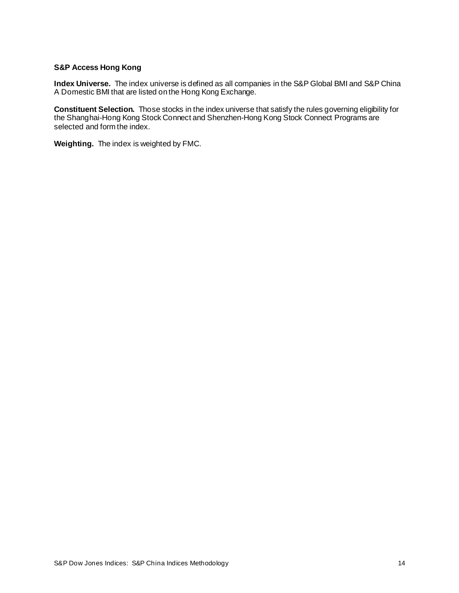### <span id="page-14-0"></span>**S&P Access Hong Kong**

**Index Universe.** The index universe is defined as all companies in the S&P Global BMI and S&P China A Domestic BMI that are listed on the Hong Kong Exchange.

**Constituent Selection.** Those stocks in the index universe that satisfy the rules governing eligibility for the Shanghai-Hong Kong Stock Connect and Shenzhen-Hong Kong Stock Connect Programs are selected and form the index.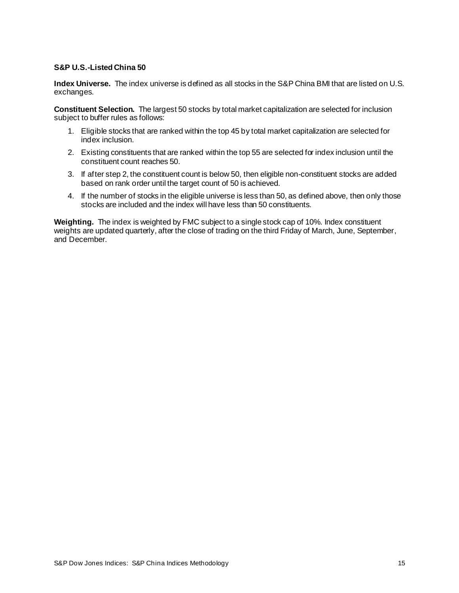### <span id="page-15-0"></span>**S&P U.S.-Listed China 50**

**Index Universe.** The index universe is defined as all stocks in the S&P China BMI that are listed on U.S. exchanges.

**Constituent Selection.** The largest 50 stocks by total market capitalization are selected for inclusion subject to buffer rules as follows:

- 1. Eligible stocks that are ranked within the top 45 by total market capitalization are selected for index inclusion.
- 2. Existing constituents that are ranked within the top 55 are selected for index inclusion until the constituent count reaches 50.
- 3. If after step 2, the constituent count is below 50, then eligible non-constituent stocks are added based on rank order until the target count of 50 is achieved.
- 4. If the number of stocks in the eligible universe is less than 50, as defined above, then only those stocks are included and the index will have less than 50 constituents.

**Weighting.** The index is weighted by FMC subject to a single stock cap of 10%. Index constituent weights are updated quarterly, after the close of trading on the third Friday of March, June, September, and December.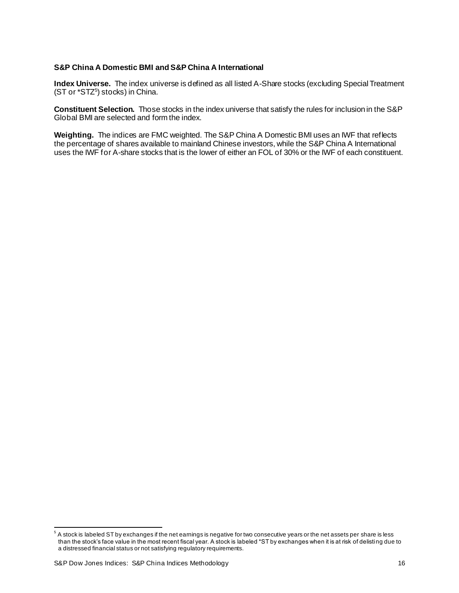#### <span id="page-16-0"></span>**S&P China A Domestic BMI and S&P China A International**

**Index Universe.** The index universe is defined as all listed A-Share stocks (excluding Special Treatment (ST or \*STZ<sup>5</sup>) stocks) in China.

**Constituent Selection.** Those stocks in the index universe that satisfy the rules for inclusion in the S&P Global BMI are selected and form the index.

**Weighting.** The indices are FMC weighted. The S&P China A Domestic BMI uses an IWF that reflects the percentage of shares available to mainland Chinese investors, while the S&P China A International uses the IWF for A-share stocks that is the lower of either an FOL of 30% or the IWF of each constituent.

 $5$  A stock is labeled ST by exchanges if the net earnings is negative for two consecutive years or the net assets per share is less than the stock's face value in the most recent fiscal year. A stock is labeled \*ST by exchanges when it is at risk of delisting due to a distressed financial status or not satisfying regulatory requirements.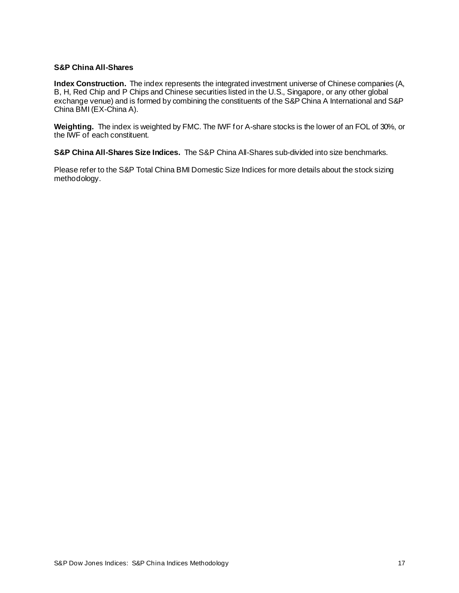#### <span id="page-17-0"></span>**S&P China All-Shares**

**Index Construction.** The index represents the integrated investment universe of Chinese companies (A, B, H, Red Chip and P Chips and Chinese securities listed in the U.S., Singapore, or any other global exchange venue) and is formed by combining the constituents of the S&P China A International and S&P China BMI (EX-China A).

**Weighting.** The index is weighted by FMC. The IWF for A-share stocks is the lower of an FOL of 30%, or the IWF of each constituent.

**S&P China All-Shares Size Indices.** The S&P China All-Shares sub-divided into size benchmarks.

Please refer to the S&P Total China BMI Domestic Size Indices for more details about the stock sizing methodology.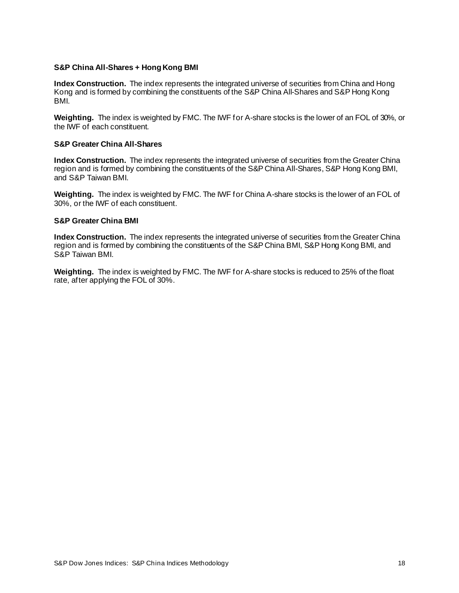#### <span id="page-18-0"></span>**S&P China All-Shares + Hong Kong BMI**

**Index Construction.** The index represents the integrated universe of securities from China and Hong Kong and is formed by combining the constituents of the S&P China All-Shares and S&P Hong Kong BMI.

**Weighting.** The index is weighted by FMC. The IWF for A-share stocks is the lower of an FOL of 30%, or the IWF of each constituent.

#### <span id="page-18-1"></span>**S&P Greater China All-Shares**

**Index Construction.** The index represents the integrated universe of securities from the Greater China region and is formed by combining the constituents of the S&P China All-Shares, S&P Hong Kong BMI, and S&P Taiwan BMI.

**Weighting.** The index is weighted by FMC. The IWF for China A-share stocks is the lower of an FOL of 30%, or the IWF of each constituent.

#### <span id="page-18-2"></span>**S&P Greater China BMI**

**Index Construction.** The index represents the integrated universe of securities from the Greater China region and is formed by combining the constituents of the S&P China BMI, S&P Hong Kong BMI, and S&P Taiwan BMI.

**Weighting.** The index is weighted by FMC. The IWF for A-share stocks is reduced to 25% of the float rate, after applying the FOL of 30%.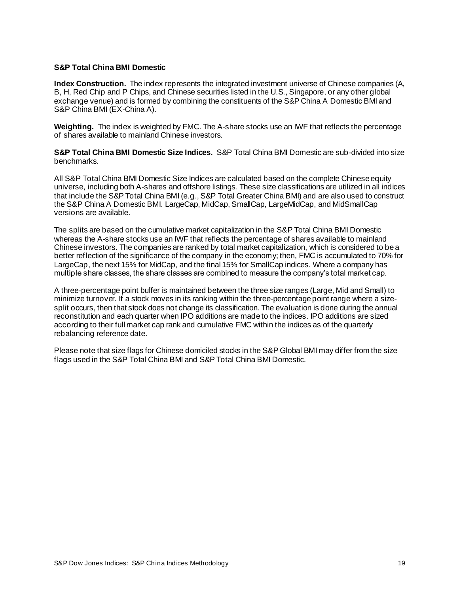#### <span id="page-19-0"></span>**S&P Total China BMI Domestic**

**Index Construction.** The index represents the integrated investment universe of Chinese companies (A, B, H, Red Chip and P Chips, and Chinese securities listed in the U.S., Singapore, or any other global exchange venue) and is formed by combining the constituents of the S&P China A Domestic BMI and S&P China BMI (EX-China A).

**Weighting.** The index is weighted by FMC. The A-share stocks use an IWF that reflects the percentage of shares available to mainland Chinese investors.

**S&P Total China BMI Domestic Size Indices.** S&P Total China BMI Domestic are sub-divided into size benchmarks.

All S&P Total China BMI Domestic Size Indices are calculated based on the complete Chinese equity universe, including both A-shares and offshore listings. These size classifications are utilized in all indices that include the S&P Total China BMI (e.g., S&P Total Greater China BMI) and are also used to construct the S&P China A Domestic BMI. LargeCap, MidCap, SmallCap, LargeMidCap, and MidSmallCap versions are available.

The splits are based on the cumulative market capitalization in the S&P Total China BMI Domestic whereas the A-share stocks use an IWF that reflects the percentage of shares available to mainland Chinese investors. The companies are ranked by total market capitalization, which is considered to be a better reflection of the significance of the company in the economy; then, FMC is accumulated to 70% for LargeCap, the next 15% for MidCap, and the final 15% for SmallCap indices. Where a company has multiple share classes, the share classes are combined to measure the company's total market cap.

A three-percentage point buffer is maintained between the three size ranges (Large, Mid and Small) to minimize turnover. If a stock moves in its ranking within the three-percentage point range where a sizesplit occurs, then that stock does not change its classification. The evaluation is done during the annual reconstitution and each quarter when IPO additions are made to the indices. IPO additions are sized according to their full market cap rank and cumulative FMC within the indices as of the quarterly rebalancing reference date.

Please note that size flags for Chinese domiciled stocks in the S&P Global BMI may differ from the size flags used in the S&P Total China BMI and S&P Total China BMI Domestic.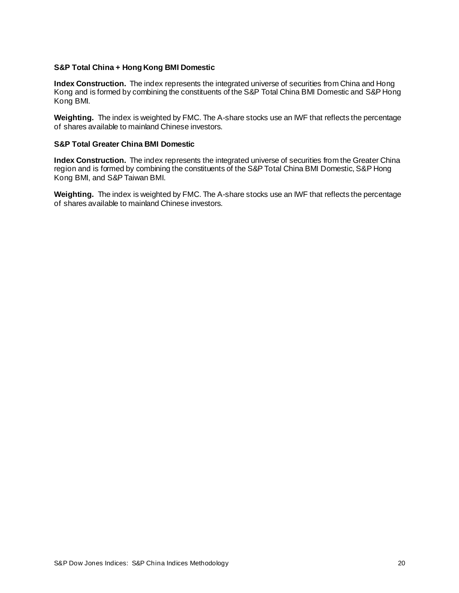#### <span id="page-20-0"></span>**S&P Total China + Hong Kong BMI Domestic**

**Index Construction.** The index represents the integrated universe of securities from China and Hong Kong and is formed by combining the constituents of the S&P Total China BMI Domestic and S&P Hong Kong BMI.

**Weighting.** The index is weighted by FMC. The A-share stocks use an IWF that reflects the percentage of shares available to mainland Chinese investors.

#### <span id="page-20-1"></span>**S&P Total Greater China BMI Domestic**

**Index Construction.** The index represents the integrated universe of securities from the Greater China region and is formed by combining the constituents of the S&P Total China BMI Domestic, S&P Hong Kong BMI, and S&P Taiwan BMI.

**Weighting.** The index is weighted by FMC. The A-share stocks use an IWF that reflects the percentage of shares available to mainland Chinese investors.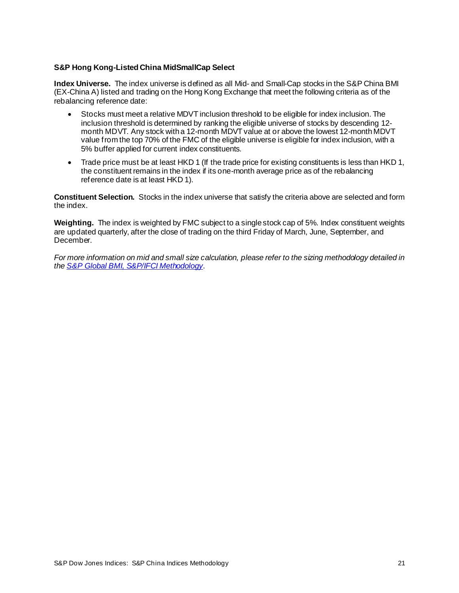### <span id="page-21-0"></span>**S&P Hong Kong-Listed China MidSmallCap Select**

**Index Universe.** The index universe is defined as all Mid- and Small-Cap stocks in the S&P China BMI (EX-China A) listed and trading on the Hong Kong Exchange that meet the following criteria as of the rebalancing reference date:

- Stocks must meet a relative MDVT inclusion threshold to be eligible for index inclusion. The inclusion threshold is determined by ranking the eligible universe of stocks by descending 12 month MDVT. Any stock with a 12-month MDVT value at or above the lowest 12-month MDVT value from the top 70% of the FMC of the eligible universe is eligible for index inclusion, with a 5% buffer applied for current index constituents.
- Trade price must be at least HKD 1 (If the trade price for existing constituents is less than HKD 1, the constituent remains in the index if its one-month average price as of the rebalancing reference date is at least HKD 1).

**Constituent Selection.** Stocks in the index universe that satisfy the criteria above are selected and form the index.

**Weighting.** The index is weighted by FMC subject to a single stock cap of 5%. Index constituent weights are updated quarterly, after the close of trading on the third Friday of March, June, September, and December.

*For more information on mid and small size calculation, please refer to the sizing methodology detailed in th[e S&P Global BMI, S&P/IFCI Methodology](https://www.spglobal.com/spdji/en/documents/methodologies/methodology-sp-global-bmi-sp-ifci-indices.pdf)*.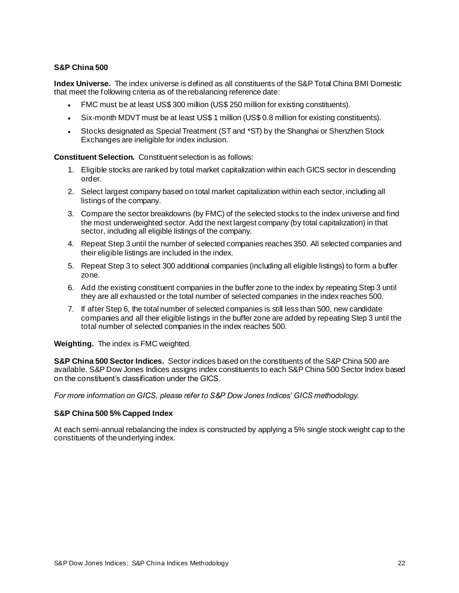#### <span id="page-22-0"></span>**S&P China 500**

**Index Universe.** The index universe is defined as all constituents of the S&P Total China BMI Domestic that meet the following criteria as of the rebalancing reference date:

- FMC must be at least US\$ 300 million (US\$ 250 million for existing constituents).
- Six-month MDVT must be at least US\$ 1 million (US\$ 0.8 million for existing constituents).
- Stocks designated as Special Treatment (ST and \*ST) by the Shanghai or Shenzhen Stock Exchanges are ineligible for index inclusion.

**Constituent Selection.** Constituent selection is as follows:

- 1. Eligible stocks are ranked by total market capitalization within each GICS sector in descending order.
- 2. Select largest company based on total market capitalization within each sector, including all listings of the company.
- 3. Compare the sector breakdowns (by FMC) of the selected stocks to the index universe and find the most underweighted sector. Add the next largest company (by total capitalization) in that sector, including all eligible listings of the company.
- 4. Repeat Step 3 until the number of selected companies reaches 350. All selected companies and their eligible listings are included in the index.
- 5. Repeat Step 3 to select 300 additional companies (including all eligible listings) to form a buffer zone.
- 6. Add the existing constituent companies in the buffer zone to the index by repeating Step 3 until they are all exhausted or the total number of selected companies in the index reaches 500.
- 7. If after Step 6, the total number of selected companies is still less than 500, new candidate companies and all their eligible listings in the buffer zone are added by repeating Step 3 until the total number of selected companies in the index reaches 500.

**Weighting.** The index is FMC weighted.

**S&P China 500 Sector Indices.** Sector indices based on the constituents of the S&P China 500 are available. S&P Dow Jones Indices assigns index constituents to each S&P China 500 Sector Index based on the constituent's classification under the GICS.

<span id="page-22-1"></span>*For more information on GICS, please refer to S&P Dow Jones Indices' GICS methodology.*

#### **S&P China 500 5% Capped Index**

At each semi-annual rebalancing the index is constructed by applying a 5% single stock weight cap to the constituents of the underlying index.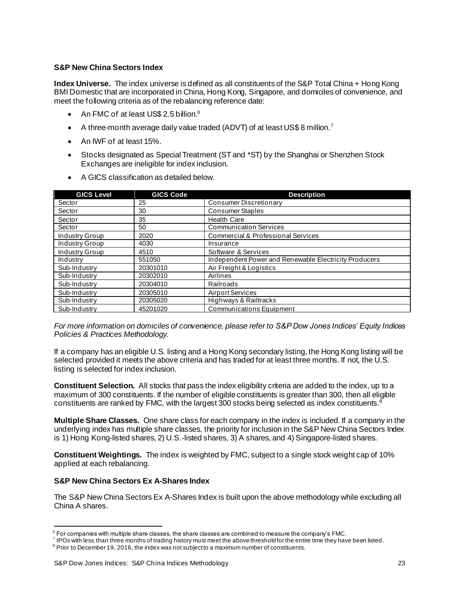### <span id="page-23-0"></span>**S&P New China Sectors Index**

**Index Universe.** The index universe is defined as all constituents of the S&P Total China + Hong Kong BMI Domestic that are incorporated in China, Hong Kong, Singapore, and domiciles of convenience, and meet the following criteria as of the rebalancing reference date:

- An FMC of at least US\$ 2.5 billion.<sup>6</sup>
- A three-month average daily value traded (ADVT) of at least US\$ 8 million.<sup>7</sup>
- An IWF of at least 15%.
- Stocks designated as Special Treatment (ST and \*ST) by the Shanghai or Shenzhen Stock Exchanges are ineligible for index inclusion.
- A GICS classification as detailed below.

| <b>GICS Level</b> | <b>GICS Code</b> | <b>Description</b>                                    |  |  |
|-------------------|------------------|-------------------------------------------------------|--|--|
| Sector            | 25               | <b>Consumer Discretionary</b>                         |  |  |
| Sector            | 30               | <b>Consumer Staples</b>                               |  |  |
| Sector            | 35               | <b>Health Care</b>                                    |  |  |
| Sector            | 50               | <b>Communication Services</b>                         |  |  |
| Industry Group    | 2020             | <b>Commercial &amp; Professional Services</b>         |  |  |
| Industry Group    | 4030             | Insurance                                             |  |  |
| Industry Group    | 4510             | Software & Services                                   |  |  |
| Industry          | 551050           | Independent Power and Renewable Electricity Producers |  |  |
| Sub-Industry      | 20301010         | Air Freight & Logistics                               |  |  |
| Sub-Industry      | 20302010         | Airlines                                              |  |  |
| Sub-Industry      | 20304010         | Railroads                                             |  |  |
| Sub-Industry      | 20305010         | <b>Airport Services</b>                               |  |  |
| Sub-Industry      | 20305020         | Highways & Railtracks                                 |  |  |
| Sub-Industry      | 45201020         | <b>Communications Equipment</b>                       |  |  |

*For more information on domiciles of convenience, please refer to S&P Dow Jones Indices' Equity Indices Policies & Practices Methodology.*

If a company has an eligible U.S. listing and a Hong Kong secondary listing, the Hong Kong listing will be selected provided it meets the above criteria and has traded for at least three months. If not, the U.S. listing is selected for index inclusion.

**Constituent Selection.** All stocks that pass the index eligibility criteria are added to the index, up to a maximum of 300 constituents. If the number of eligible constituents is greater than 300, then all eligible constituents are ranked by FMC, with the largest 300 stocks being selected as index constituents.<sup>8</sup>

**Multiple Share Classes.** One share class for each company in the index is included. If a company in the underlying index has multiple share classes, the priority for inclusion in the S&P New China Sectors Index is 1) Hong Kong-listed shares, 2) U.S.-listed shares, 3) A shares, and 4) Singapore-listed shares.

**Constituent Weightings.** The index is weighted by FMC, subject to a single stock weight cap of 10% applied at each rebalancing.

### <span id="page-23-1"></span>**S&P New China Sectors Ex A-Shares Index**

The S&P New China Sectors Ex A-Shares Index is built upon the above methodology while excluding all China A shares.

 $^{\rm 6}$  For companies with multiple share classes, the share classes are combined to measure the company's FMC.

 $^7$  IPOs with less than three months of trading history must meet the above threshold for the entire time they have been listed.

 $8$  Prior to December 19, 2016, the index was not subject to a maximum number of constituents.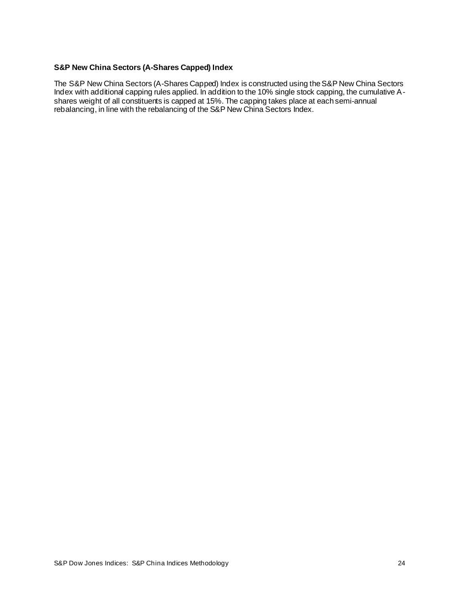#### <span id="page-24-0"></span>**S&P New China Sectors (A-Shares Capped) Index**

The S&P New China Sectors (A-Shares Capped) Index is constructed using the S&P New China Sectors Index with additional capping rules applied. In addition to the 10% single stock capping, the cumulative Ashares weight of all constituents is capped at 15%. The capping takes place at each semi-annual rebalancing, in line with the rebalancing of the S&P New China Sectors Index.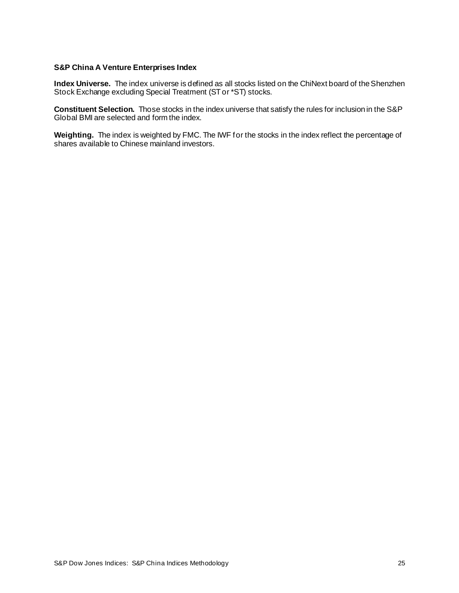#### <span id="page-25-0"></span>**S&P China A Venture Enterprises Index**

**Index Universe.** The index universe is defined as all stocks listed on the ChiNext board of the Shenzhen Stock Exchange excluding Special Treatment (ST or \*ST) stocks.

**Constituent Selection.** Those stocks in the index universe that satisfy the rules for inclusion in the S&P Global BMI are selected and form the index.

**Weighting.** The index is weighted by FMC. The IWF for the stocks in the index reflect the percentage of shares available to Chinese mainland investors.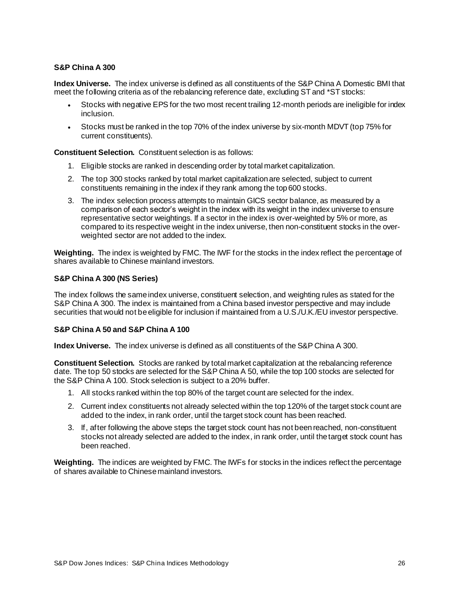### <span id="page-26-0"></span>**S&P China A 300**

**Index Universe.** The index universe is defined as all constituents of the S&P China A Domestic BMI that meet the following criteria as of the rebalancing reference date, excluding ST and \*ST stocks:

- Stocks with negative EPS for the two most recent trailing 12-month periods are ineligible for index inclusion.
- Stocks must be ranked in the top 70% of the index universe by six-month MDVT (top 75% for current constituents).

**Constituent Selection.** Constituent selection is as follows:

- 1. Eligible stocks are ranked in descending order by total market capitalization.
- 2. The top 300 stocks ranked by total market capitalization are selected, subject to current constituents remaining in the index if they rank among the top 600 stocks.
- 3. The index selection process attempts to maintain GICS sector balance, as measured by a comparison of each sector's weight in the index with its weight in the index universe to ensure representative sector weightings. If a sector in the index is over-weighted by 5% or more, as compared to its respective weight in the index universe, then non-constituent stocks in the overweighted sector are not added to the index.

**Weighting.** The index is weighted by FMC. The IWF for the stocks in the index reflect the percentage of shares available to Chinese mainland investors.

#### <span id="page-26-1"></span>**S&P China A 300 (NS Series)**

The index follows the same index universe, constituent selection, and weighting rules as stated for the S&P China A 300. The index is maintained from a China based investor perspective and may include securities that would not be eligible for inclusion if maintained from a U.S./U.K./EU investor perspective.

#### <span id="page-26-2"></span>**S&P China A 50 and S&P China A 100**

**Index Universe.** The index universe is defined as all constituents of the S&P China A 300.

**Constituent Selection.** Stocks are ranked by total market capitalization at the rebalancing reference date. The top 50 stocks are selected for the S&P China A 50, while the top 100 stocks are selected for the S&P China A 100. Stock selection is subject to a 20% buffer.

- 1. All stocks ranked within the top 80% of the target count are selected for the index.
- 2. Current index constituents not already selected within the top 120% of the target stock count are added to the index, in rank order, until the target stock count has been reached.
- 3. If, after following the above steps the target stock count has not been reached, non-constituent stocks not already selected are added to the index, in rank order, until the target stock count has been reached.

**Weighting.** The indices are weighted by FMC. The IWFs for stocks in the indices reflect the percentage of shares available to Chinese mainland investors.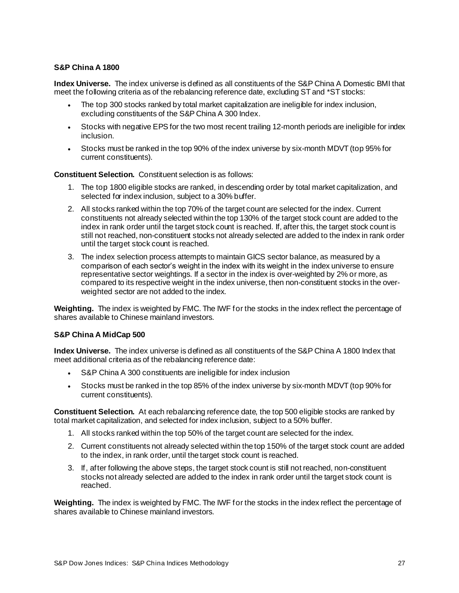### <span id="page-27-0"></span>**S&P China A 1800**

**Index Universe.** The index universe is defined as all constituents of the S&P China A Domestic BMI that meet the following criteria as of the rebalancing reference date, excluding ST and \*ST stocks:

- The top 300 stocks ranked by total market capitalization are ineligible for index inclusion, excluding constituents of the S&P China A 300 Index.
- Stocks with negative EPS for the two most recent trailing 12-month periods are ineligible for index inclusion.
- Stocks must be ranked in the top 90% of the index universe by six-month MDVT (top 95% for current constituents).

**Constituent Selection.** Constituent selection is as follows:

- 1. The top 1800 eligible stocks are ranked, in descending order by total market capitalization, and selected for index inclusion, subject to a 30% buffer.
- 2. All stocks ranked within the top 70% of the target count are selected for the index. Current constituents not already selected within the top 130% of the target stock count are added to the index in rank order until the target stock count is reached. If, after this, the target stock count is still not reached, non-constituent stocks not already selected are added to the index in rank order until the target stock count is reached.
- 3. The index selection process attempts to maintain GICS sector balance, as measured by a comparison of each sector's weight in the index with its weight in the index universe to ensure representative sector weightings. If a sector in the index is over-weighted by 2% or more, as compared to its respective weight in the index universe, then non-constituent stocks in the overweighted sector are not added to the index.

**Weighting.** The index is weighted by FMC. The IWF for the stocks in the index reflect the percentage of shares available to Chinese mainland investors.

### <span id="page-27-1"></span>**S&P China A MidCap 500**

**Index Universe.** The index universe is defined as all constituents of the S&P China A 1800 Index that meet additional criteria as of the rebalancing reference date:

- S&P China A 300 constituents are ineligible for index inclusion
- Stocks must be ranked in the top 85% of the index universe by six-month MDVT (top 90% for current constituents).

**Constituent Selection.** At each rebalancing reference date, the top 500 eligible stocks are ranked by total market capitalization, and selected for index inclusion, subject to a 50% buffer.

- 1. All stocks ranked within the top 50% of the target count are selected for the index.
- 2. Current constituents not already selected within the top 150% of the target stock count are added to the index, in rank order, until the target stock count is reached.
- 3. If, after following the above steps, the target stock count is still not reached, non-constituent stocks not already selected are added to the index in rank order until the target stock count is reached.

**Weighting.** The index is weighted by FMC. The IWF for the stocks in the index reflect the percentage of shares available to Chinese mainland investors.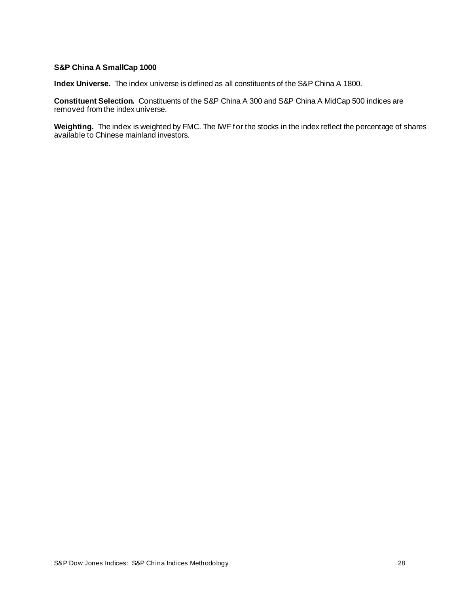#### <span id="page-28-0"></span>**S&P China A SmallCap 1000**

**Index Universe.** The index universe is defined as all constituents of the S&P China A 1800.

**Constituent Selection.** Constituents of the S&P China A 300 and S&P China A MidCap 500 indices are removed from the index universe.

**Weighting.** The index is weighted by FMC. The IWF for the stocks in the index reflect the percentage of shares available to Chinese mainland investors.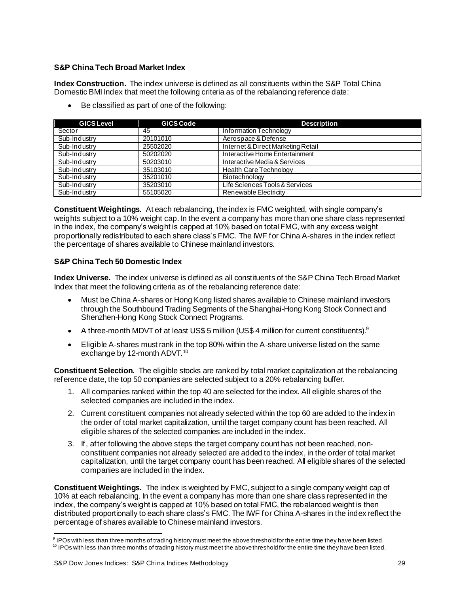### <span id="page-29-0"></span>**S&P China Tech Broad Market Index**

**Index Construction.** The index universe is defined as all constituents within the S&P Total China Domestic BMI Index that meet the following criteria as of the rebalancing reference date:

• Be classified as part of one of the following:

| <b>GICS Level</b> | <b>GICS Code</b> | <b>Description</b>                 |  |  |
|-------------------|------------------|------------------------------------|--|--|
| Sector            | 45               | Information Technology             |  |  |
| Sub-Industry      | 20101010         | Aerospace & Defense                |  |  |
| Sub-Industry      | 25502020         | Internet & Direct Marketing Retail |  |  |
| Sub-Industry      | 50202020         | Interactive Home Entertainment     |  |  |
| Sub-Industry      | 50203010         | Interactive Media & Services       |  |  |
| Sub-Industry      | 35103010         | <b>Health Care Technology</b>      |  |  |
| Sub-Industry      | 35201010         | Biotechnology                      |  |  |
| Sub-Industry      | 35203010         | Life Sciences Tools & Services     |  |  |
| Sub-Industry      | 55105020         | Renewable Electricity              |  |  |

**Constituent Weightings.** At each rebalancing, the index is FMC weighted, with single company's weights subject to a 10% weight cap. In the event a company has more than one share class represented in the index, the company's weight is capped at 10% based on total FMC, with any excess weight proportionally redistributed to each share class's FMC. The IWF for China A-shares in the index reflect the percentage of shares available to Chinese mainland investors.

## <span id="page-29-1"></span>**S&P China Tech 50 Domestic Index**

**Index Universe.** The index universe is defined as all constituents of the S&P China Tech Broad Market Index that meet the following criteria as of the rebalancing reference date:

- Must be China A-shares or Hong Kong listed shares available to Chinese mainland investors through the Southbound Trading Segments of the Shanghai-Hong Kong Stock Connect and Shenzhen-Hong Kong Stock Connect Programs.
- A three-month MDVT of at least US\$ 5 million (US\$ 4 million for current constituents).<sup>9</sup>
- Eligible A-shares must rank in the top 80% within the A-share universe listed on the same exchange by 12-month ADVT.<sup>10</sup>

**Constituent Selection.** The eligible stocks are ranked by total market capitalization at the rebalancing reference date, the top 50 companies are selected subject to a 20% rebalancing buffer.

- 1. All companies ranked within the top 40 are selected for the index. All eligible shares of the selected companies are included in the index.
- 2. Current constituent companies not already selected within the top 60 are added to the index in the order of total market capitalization, until the target company count has been reached. All eligible shares of the selected companies are included in the index.
- 3. If, after following the above steps the target company count has not been reached, nonconstituent companies not already selected are added to the index, in the order of total market capitalization, until the target company count has been reached. All eligible shares of the selected companies are included in the index.

**Constituent Weightings.** The index is weighted by FMC, subject to a single company weight cap of 10% at each rebalancing. In the event a company has more than one share class represented in the index, the company's weight is capped at 10% based on total FMC, the rebalanced weight is then distributed proportionally to each share class's FMC. The IWF for China A-shares in the index reflect the percentage of shares available to Chinese mainland investors.

<sup>&</sup>lt;sup>9</sup> IPOs with less than three months of trading history must meet the above threshold for the entire time they have been listed.

 $10$  IPOs with less than three months of trading history must meet the above threshold for the entire time they have been listed.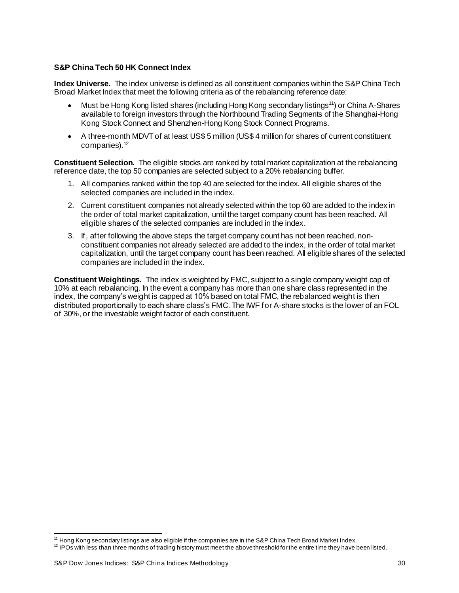#### <span id="page-30-0"></span>**S&P China Tech 50 HK Connect Index**

**Index Universe.** The index universe is defined as all constituent companies within the S&P China Tech Broad Market Index that meet the following criteria as of the rebalancing reference date:

- Must be Hong Kong listed shares (including Hong Kong secondary listings<sup>11</sup>) or China A-Shares available to foreign investors through the Northbound Trading Segments of the Shanghai-Hong Kong Stock Connect and Shenzhen-Hong Kong Stock Connect Programs.
- A three-month MDVT of at least US\$ 5 million (US\$ 4 million for shares of current constituent companies). 12

**Constituent Selection.** The eligible stocks are ranked by total market capitalization at the rebalancing reference date, the top 50 companies are selected subject to a 20% rebalancing buffer.

- 1. All companies ranked within the top 40 are selected for the index. All eligible shares of the selected companies are included in the index.
- 2. Current constituent companies not already selected within the top 60 are added to the index in the order of total market capitalization, until the target company count has been reached. All eligible shares of the selected companies are included in the index.
- 3. If, after following the above steps the target company count has not been reached, nonconstituent companies not already selected are added to the index, in the order of total market capitalization, until the target company count has been reached. All eligible shares of the selected companies are included in the index.

**Constituent Weightings.** The index is weighted by FMC, subject to a single company weight cap of 10% at each rebalancing. In the event a company has more than one share class represented in the index, the company's weight is capped at 10% based on total FMC, the rebalanced weight is then distributed proportionally to each share class's FMC. The IWF for A-share stocks is the lower of an FOL of 30%, or the investable weight factor of each constituent.

 $11$  Hong Kong secondary listings are also eligible if the companies are in the S&P China Tech Broad Market Index.

<sup>&</sup>lt;sup>12</sup> IPOs with less than three months of trading history must meet the above threshold for the entire time they have been listed.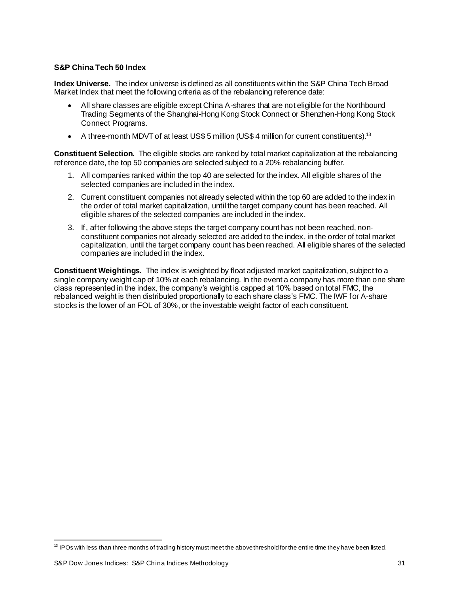### <span id="page-31-0"></span>**S&P China Tech 50 Index**

**Index Universe.** The index universe is defined as all constituents within the S&P China Tech Broad Market Index that meet the following criteria as of the rebalancing reference date:

- All share classes are eligible except China A-shares that are not eligible for the Northbound Trading Segments of the Shanghai-Hong Kong Stock Connect or Shenzhen-Hong Kong Stock Connect Programs.
- A three-month MDVT of at least US\$ 5 million (US\$ 4 million for current constituents).<sup>13</sup>

**Constituent Selection.** The eligible stocks are ranked by total market capitalization at the rebalancing reference date, the top 50 companies are selected subject to a 20% rebalancing buffer.

- 1. All companies ranked within the top 40 are selected for the index. All eligible shares of the selected companies are included in the index.
- 2. Current constituent companies not already selected within the top 60 are added to the index in the order of total market capitalization, until the target company count has been reached. All eligible shares of the selected companies are included in the index.
- 3. If, after following the above steps the target company count has not been reached, nonconstituent companies not already selected are added to the index, in the order of total market capitalization, until the target company count has been reached. All eligible shares of the selected companies are included in the index.

**Constituent Weightings.** The index is weighted by float adjusted market capitalization, subject to a single company weight cap of 10% at each rebalancing. In the event a company has more than one share class represented in the index, the company's weight is capped at 10% based on total FMC, the rebalanced weight is then distributed proportionally to each share class's FMC. The IWF for A-share stocks is the lower of an FOL of 30%, or the investable weight factor of each constituent.

<sup>&</sup>lt;sup>13</sup> IPOs with less than three months of trading history must meet the above threshold for the entire time they have been listed.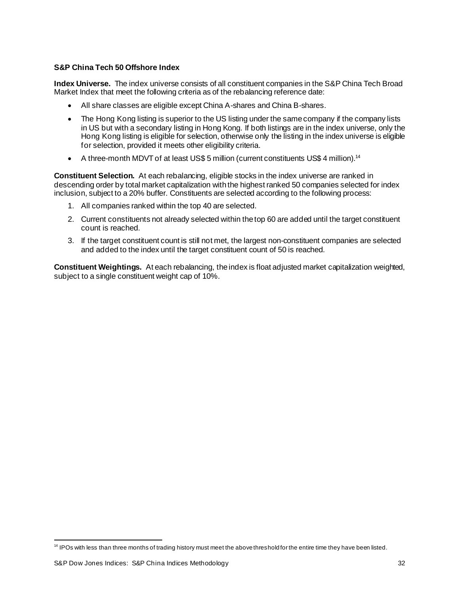### <span id="page-32-0"></span>**S&P China Tech 50 Offshore Index**

**Index Universe.** The index universe consists of all constituent companies in the S&P China Tech Broad Market Index that meet the following criteria as of the rebalancing reference date:

- All share classes are eligible except China A-shares and China B-shares.
- The Hong Kong listing is superior to the US listing under the same company if the company lists in US but with a secondary listing in Hong Kong. If both listings are in the index universe, only the Hong Kong listing is eligible for selection, otherwise only the listing in the index universe is eligible for selection, provided it meets other eligibility criteria.
- A three-month MDVT of at least US\$ 5 million (current constituents US\$ 4 million).<sup>14</sup>

**Constituent Selection.** At each rebalancing, eligible stocks in the index universe are ranked in descending order by total market capitalization with the highest ranked 50 companies selected for index inclusion, subject to a 20% buffer. Constituents are selected according to the following process:

- 1. All companies ranked within the top 40 are selected.
- 2. Current constituents not already selected within the top 60 are added until the target constituent count is reached.
- 3. If the target constituent count is still not met, the largest non-constituent companies are selected and added to the index until the target constituent count of 50 is reached.

**Constituent Weightings.** At each rebalancing, the index is float adjusted market capitalization weighted, subject to a single constituent weight cap of 10%.

<sup>&</sup>lt;sup>14</sup> IPOs with less than three months of trading history must meet the above threshold for the entire time they have been listed.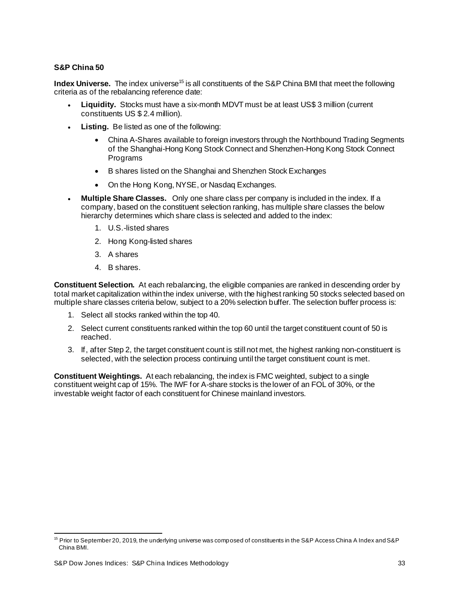### <span id="page-33-0"></span>**S&P China 50**

**Index Universe.** The index universe<sup>15</sup> is all constituents of the S&P China BMI that meet the following criteria as of the rebalancing reference date:

- **Liquidity.** Stocks must have a six-month MDVT must be at least US\$ 3 million (current constituents US \$ 2.4 million).
- **Listing.** Be listed as one of the following:
	- China A-Shares available to foreign investors through the Northbound Trading Segments of the Shanghai-Hong Kong Stock Connect and Shenzhen-Hong Kong Stock Connect **Programs**
	- B shares listed on the Shanghai and Shenzhen Stock Exchanges
	- On the Hong Kong, NYSE, or Nasdaq Exchanges.
- **Multiple Share Classes.** Only one share class per company is included in the index. If a company, based on the constituent selection ranking, has multiple share classes the below hierarchy determines which share class is selected and added to the index:
	- 1. U.S.-listed shares
	- 2. Hong Kong-listed shares
	- 3. A shares
	- 4. B shares.

**Constituent Selection.** At each rebalancing, the eligible companies are ranked in descending order by total market capitalization within the index universe, with the highest ranking 50 stocks selected based on multiple share classes criteria below, subject to a 20% selection buffer. The selection buffer process is:

- 1. Select all stocks ranked within the top 40.
- 2. Select current constituents ranked within the top 60 until the target constituent count of 50 is reached.
- 3. If, after Step 2, the target constituent count is still not met, the highest ranking non-constituent is selected, with the selection process continuing until the target constituent count is met.

**Constituent Weightings.** At each rebalancing, theindex is FMC weighted, subject to a single constituent weight cap of 15%. The IWF for A-share stocks is the lower of an FOL of 30%, or the investable weight factor of each constituent for Chinese mainland investors.

<sup>&</sup>lt;sup>15</sup> Prior to September 20, 2019, the underlying universe was composed of constituents in the S&P Access China A Index and S&P China BMI.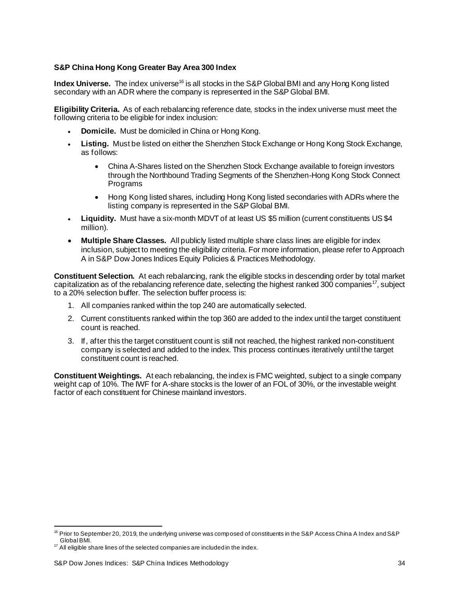#### <span id="page-34-0"></span>**S&P China Hong Kong Greater Bay Area 300 Index**

**Index Universe.** The index universe<sup>16</sup> is all stocks in the S&P Global BMI and any Hong Kong listed secondary with an ADR where the company is represented in the S&P Global BMI.

**Eligibility Criteria.** As of each rebalancing reference date, stocks in the index universe must meet the following criteria to be eligible for index inclusion:

- **Domicile.** Must be domiciled in China or Hong Kong.
- **Listing.** Must be listed on either the Shenzhen Stock Exchange or Hong Kong Stock Exchange, as follows:
	- China A-Shares listed on the Shenzhen Stock Exchange available to foreign investors through the Northbound Trading Segments of the Shenzhen-Hong Kong Stock Connect Programs
	- Hong Kong listed shares, including Hong Kong listed secondaries with ADRs where the listing company is represented in the S&P Global BMI.
- **Liquidity.** Must have a six-month MDVT of at least US \$5 million (current constituents US \$4 million).
- **Multiple Share Classes.** All publicly listed multiple share class lines are eligible for index inclusion, subject to meeting the eligibility criteria. For more information, please refer to Approach A in S&P Dow Jones Indices Equity Policies & Practices Methodology.

**Constituent Selection.** At each rebalancing, rank the eligible stocks in descending order by total market capitalization as of the rebalancing reference date, selecting the highest ranked 300 companies<sup>17</sup>, subject to a 20% selection buffer. The selection buffer process is:

- 1. All companies ranked within the top 240 are automatically selected.
- 2. Current constituents ranked within the top 360 are added to the index until the target constituent count is reached.
- 3. If, after this the target constituent count is still not reached, the highest ranked non-constituent company is selected and added to the index. This process continues iteratively until the target constituent count is reached.

**Constituent Weightings.** At each rebalancing, the index is FMC weighted, subject to a single company weight cap of 10%. The IWF for A-share stocks is the lower of an FOL of 30%, or the investable weight factor of each constituent for Chinese mainland investors.

 $16$  Prior to September 20, 2019, the underlying universe was composed of constituents in the S&P Access China A Index and S&P Global BMI.

<sup>&</sup>lt;sup>17</sup> All eligible share lines of the selected companies are included in the index.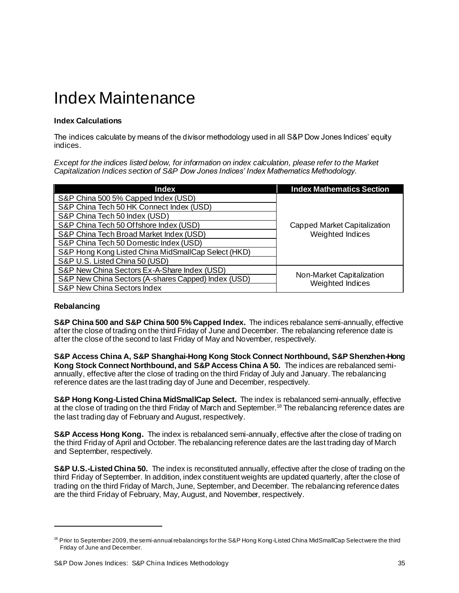# <span id="page-35-0"></span>Index Maintenance

### <span id="page-35-1"></span>**Index Calculations**

The indices calculate by means of the divisor methodology used in all S&P Dow Jones Indices' equity indices.

*Except for the indices listed below, for information on index calculation, please refer to the Market Capitalization Indices section of S&P Dow Jones Indices' Index Mathematics Methodology.* 

| <b>Index</b>                                        | <b>Index Mathematics Section</b>                 |  |
|-----------------------------------------------------|--------------------------------------------------|--|
| S&P China 500 5% Capped Index (USD)                 |                                                  |  |
| S&P China Tech 50 HK Connect Index (USD)            |                                                  |  |
| S&P China Tech 50 Index (USD)                       |                                                  |  |
| S&P China Tech 50 Offshore Index (USD)              | Capped Market Capitalization<br>Weighted Indices |  |
| S&P China Tech Broad Market Index (USD)             |                                                  |  |
| S&P China Tech 50 Domestic Index (USD)              |                                                  |  |
| S&P Hong Kong Listed China MidSmallCap Select (HKD) |                                                  |  |
| S&P U.S. Listed China 50 (USD)                      |                                                  |  |
| S&P New China Sectors Ex-A-Share Index (USD)        |                                                  |  |
| S&P New China Sectors (A-shares Capped) Index (USD) | Non-Market Capitalization<br>Weighted Indices    |  |
| <b>S&amp;P New China Sectors Index</b>              |                                                  |  |

### <span id="page-35-2"></span>**Rebalancing**

**S&P China 500 and S&P China 500 5% Capped Index.** The indices rebalance semi-annually, effective after the close of trading on the third Friday of June and December. The rebalancing reference date is after the close of the second to last Friday of May and November, respectively.

**S&P Access China A, S&P Shanghai-Hong Kong Stock Connect Northbound, S&P Shenzhen-Hong Kong Stock Connect Northbound, and S&P Access China A 50.** The indices are rebalanced semiannually, effective after the close of trading on the third Friday of July and January. The rebalancing reference dates are the last trading day of June and December, respectively.

**S&P Hong Kong-Listed China MidSmallCap Select.** The index is rebalanced semi-annually, effective at the close of trading on the third Friday of March and September.<sup>18</sup> The rebalancing reference dates are the last trading day of February and August, respectively.

**S&P Access Hong Kong.** The index is rebalanced semi-annually, effective after the close of trading on the third Friday of April and October. The rebalancing reference dates are the last trading day of March and September, respectively.

**S&P U.S.-Listed China 50.** The index is reconstituted annually, effective after the close of trading on the third Friday of September. In addition, index constituent weights are updated quarterly, after the close of trading on the third Friday of March, June, September, and December. The rebalancing reference dates are the third Friday of February, May, August, and November, respectively.

<sup>&</sup>lt;sup>18</sup> Prior to September 2009, the semi-annual rebalancings for the S&P Hong Kong-Listed China MidSmallCap Select were the third Friday of June and December.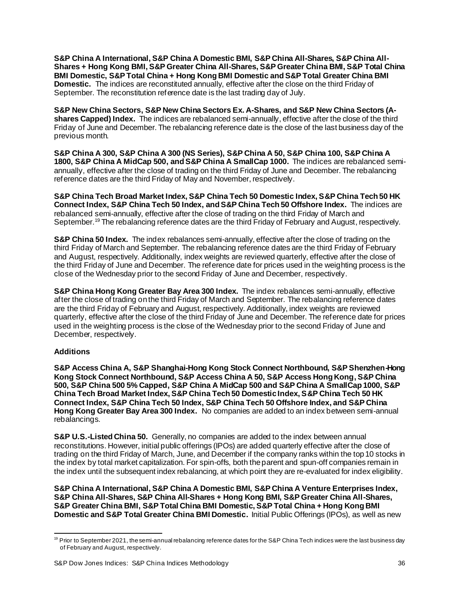**S&P China A International, S&P China A Domestic BMI, S&P China All-Shares, S&P China All-Shares + Hong Kong BMI, S&P Greater China All-Shares, S&P Greater China BMI, S&P Total China BMI Domestic, S&P Total China + Hong Kong BMI Domestic and S&P Total Greater China BMI Domestic.** The indices are reconstituted annually, effective after the close on the third Friday of September. The reconstitution reference date is the last trading day of July.

**S&P New China Sectors, S&P New China Sectors Ex. A-Shares, and S&P New China Sectors (Ashares Capped) Index.** The indices are rebalanced semi-annually, effective after the close of the third Friday of June and December. The rebalancing reference date is the close of the last business day of the previous month.

**S&P China A 300, S&P China A 300 (NS Series), S&P China A 50, S&P China 100, S&P China A 1800, S&P China A MidCap 500, and S&P China A SmallCap 1000.** The indices are rebalanced semiannually, effective after the close of trading on the third Friday of June and December. The rebalancing reference dates are the third Friday of May and November, respectively.

**S&P China Tech Broad Market Index, S&P China Tech 50 Domestic Index, S&P China Tech 50 HK Connect Index, S&P China Tech 50 Index, and S&P China Tech 50 Offshore Index.** The indices are rebalanced semi-annually, effective after the close of trading on the third Friday of March and September.<sup>19</sup> The rebalancing reference dates are the third Friday of February and August, respectively.

**S&P China 50 Index.** The index rebalances semi-annually, effective after the close of trading on the third Friday of March and September. The rebalancing reference dates are the third Friday of February and August, respectively. Additionally, index weights are reviewed quarterly, effective after the close of the third Friday of June and December. The reference date for prices used in the weighting process is the close of the Wednesday prior to the second Friday of June and December, respectively.

**S&P China Hong Kong Greater Bay Area 300 Index.** The index rebalances semi-annually, effective after the close of trading on the third Friday of March and September. The rebalancing reference dates are the third Friday of February and August, respectively. Additionally, index weights are reviewed quarterly, effective after the close of the third Friday of June and December. The reference date for prices used in the weighting process is the close of the Wednesday prior to the second Friday of June and December, respectively.

### <span id="page-36-0"></span>**Additions**

**S&P Access China A, S&P Shanghai-Hong Kong Stock Connect Northbound, S&P Shenzhen-Hong Kong Stock Connect Northbound, S&P Access China A 50, S&P Access Hong Kong, S&P China 500, S&P China 500 5% Capped, S&P China A MidCap 500 and S&P China A SmallCap 1000, S&P China Tech Broad Market Index, S&P China Tech 50 Domestic Index, S&P China Tech 50 HK Connect Index, S&P China Tech 50 Index, S&P China Tech 50 Offshore Index, and S&P China Hong Kong Greater Bay Area 300 Index.** No companies are added to an index between semi-annual rebalancings.

**S&P U.S.-Listed China 50.** Generally, no companies are added to the index between annual reconstitutions. However, initial public offerings (IPOs) are added quarterly effective after the close of trading on the third Friday of March, June, and December if the company ranks within the top 10 stocks in the index by total market capitalization. For spin-offs, both the parent and spun-off companies remain in the index until the subsequent index rebalancing, at which point they are re-evaluated for index eligibility.

**S&P China A International, S&P China A Domestic BMI, S&P China A Venture Enterprises Index, S&P China All-Shares, S&P China All-Shares + Hong Kong BMI, S&P Greater China All-Shares, S&P Greater China BMI, S&P Total China BMI Domestic, S&P Total China + Hong Kong BMI Domestic and S&P Total Greater China BMI Domestic.** Initial Public Offerings (IPOs), as well as new

 $19$  Prior to September 2021, the semi-annual rebalancing reference dates for the S&P China Tech indices were the last business day of February and August, respectively.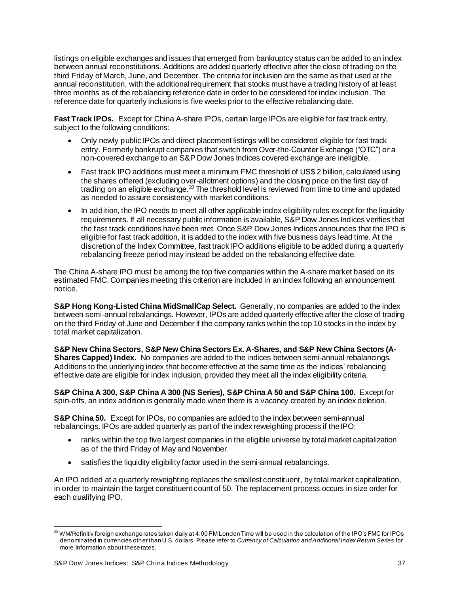listings on eligible exchanges and issues that emerged from bankruptcy status can be added to an index between annual reconstitutions. Additions are added quarterly effective after the close of trading on the third Friday of March, June, and December. The criteria for inclusion are the same as that used at the annual reconstitution, with the additional requirement that stocks must have a trading history of at least three months as of the rebalancing reference date in order to be considered for index inclusion. The reference date for quarterly inclusions is five weeks prior to the effective rebalancing date.

**Fast Track IPOs.** Except for China A-share IPOs, certain large IPOs are eligible for fast track entry, subject to the following conditions:

- Only newly public IPOs and direct placement listings will be considered eligible for fast track entry. Formerly bankrupt companies that switch from Over-the-Counter Exchange ("OTC") or a non-covered exchange to an S&P Dow Jones Indices covered exchange are ineligible.
- Fast track IPO additions must meet a minimum FMC threshold of US\$ 2 billion, calculated using the shares offered (excluding over-allotment options) and the closing price on the first day of trading on an eligible exchange.<sup>20</sup> The threshold level is reviewed from time to time and updated as needed to assure consistency with market conditions.
- In addition, the IPO needs to meet all other applicable index eligibility rules except for the liquidity requirements. If all necessary public information is available, S&P Dow Jones Indices verifies that the fast track conditions have been met. Once S&P Dow Jones Indices announces that the IPO is eligible for fast track addition, it is added to the index with five business days lead time. At the discretion of the Index Committee, fast track IPO additions eligible to be added during a quarterly rebalancing freeze period may instead be added on the rebalancing effective date.

The China A-share IPO must be among the top five companies within the A-share market based on its estimated FMC. Companies meeting this criterion are included in an index following an announcement notice.

**S&P Hong Kong-Listed China MidSmallCap Select.** Generally, no companies are added to the index between semi-annual rebalancings. However, IPOs are added quarterly effective after the close of trading on the third Friday of June and December if the company ranks within the top 10 stocks in the index by total market capitalization.

**S&P New China Sectors, S&P New China Sectors Ex. A-Shares, and S&P New China Sectors (A-Shares Capped) Index.** No companies are added to the indices between semi-annual rebalancings. Additions to the underlying index that become effective at the same time as the indices' rebalancing effective date are eligible for index inclusion, provided they meet all the index eligibility criteria.

**S&P China A 300, S&P China A 300 (NS Series), S&P China A 50 and S&P China 100.** Except for spin-offs, an index addition is generally made when there is a vacancy created by an index deletion.

**S&P China 50.** Except for IPOs, no companies are added to the index between semi-annual rebalancings. IPOs are added quarterly as part of the index reweighting process if the IPO:

- ranks within the top five largest companies in the eligible universe by total market capitalization as of the third Friday of May and November.
- satisfies the liquidity eligibility factor used in the semi-annual rebalancings.

An IPO added at a quarterly reweighting replaces the smallest constituent, by total market capitalization, in order to maintain the target constituent count of 50. The replacement process occurs in size order for each qualifying IPO.

 $^{20}$  WM/Refinitiv foreign exchange rates taken daily at 4:00 PM London Time will be used in the calculation of the IPO's FMC for IPOs denominated in currencies other than U.S. dollars. Please refer to *Currency of Calculation and Additional Index Return Series* for more information about these rates.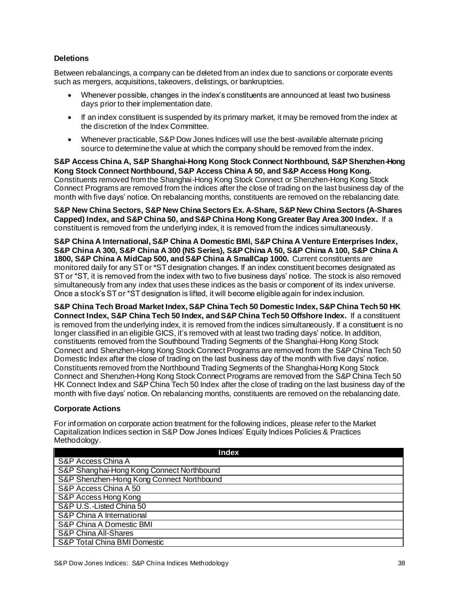#### <span id="page-38-0"></span>**Deletions**

Between rebalancings, a company can be deleted from an index due to sanctions or corporate events such as mergers, acquisitions, takeovers, delistings, or bankruptcies.

- Whenever possible, changes in the index's constituents are announced at least two business days prior to their implementation date.
- If an index constituent is suspended by its primary market, it may be removed from the index at the discretion of the Index Committee.
- Whenever practicable, S&P Dow Jones Indices will use the best-available alternate pricing source to determine the value at which the company should be removed from the index.

**S&P Access China A, S&P Shanghai-Hong Kong Stock Connect Northbound, S&P Shenzhen-Hong Kong Stock Connect Northbound, S&P Access China A 50, and S&P Access Hong Kong.**  Constituents removed from the Shanghai-Hong Kong Stock Connect or Shenzhen-Hong Kong Stock Connect Programs are removed from the indices after the close of trading on the last business day of the month with five days' notice. On rebalancing months, constituents are removed on the rebalancing date.

**S&P New China Sectors, S&P New China Sectors Ex. A-Share, S&P New China Sectors (A-Shares Capped) Index, and S&P China 50, and S&P China Hong Kong Greater Bay Area 300 Index.** If a constituent is removed from the underlying index, it is removed from the indices simultaneously.

**S&P China A International, S&P China A Domestic BMI, S&P China A Venture Enterprises Index, S&P China A 300, S&P China A 300 (NS Series), S&P China A 50, S&P China A 100, S&P China A 1800, S&P China A MidCap 500, and S&P China A SmallCap 1000.** Current constituents are monitored daily for any ST or \*ST designation changes. If an index constituent becomes designated as ST or \*ST, it is removed from the index with two to five business days' notice. The stock is also removed simultaneously from any index that uses these indices as the basis or component of its index universe. Once a stock's ST or \*ST designation is lifted, it will become eligible again for index inclusion.

**S&P China Tech Broad Market Index, S&P China Tech 50 Domestic Index, S&P China Tech 50 HK Connect Index, S&P China Tech 50 Index, and S&P China Tech 50 Offshore Index.** If a constituent is removed from the underlying index, it is removed from the indices simultaneously. If a constituent is no longer classified in an eligible GICS, it's removed with at least two trading days' notice. In addition, constituents removed from the Southbound Trading Segments of the Shanghai-Hong Kong Stock Connect and Shenzhen-Hong Kong Stock Connect Programs are removed from the S&P China Tech 50 Domestic Index after the close of trading on the last business day of the month with five days' notice. Constituents removed from the Northbound Trading Segments of the Shanghai-Hong Kong Stock Connect and Shenzhen-Hong Kong Stock Connect Programs are removed from the S&P China Tech 50 HK Connect Index and S&P China Tech 50 Index after the close of trading on the last business day of the month with five days' notice. On rebalancing months, constituents are removed on the rebalancing date.

#### <span id="page-38-1"></span>**Corporate Actions**

For information on corporate action treatment for the following indices, please refer to the Market Capitalization Indices section in S&P Dow Jones Indices' Equity Indices Policies & Practices Methodology.

| Index                                     |
|-------------------------------------------|
| S&P Access China A                        |
| S&P Shanghai-Hong Kong Connect Northbound |
| S&P Shenzhen-Hong Kong Connect Northbound |
| S&P Access China A 50                     |
| S&P Access Hong Kong                      |
| S&P U.S.-Listed China 50                  |
| S&P China A International                 |
| S&P China A Domestic BMI                  |
| S&P China All-Shares                      |
| <b>S&amp;P Total China BMI Domestic</b>   |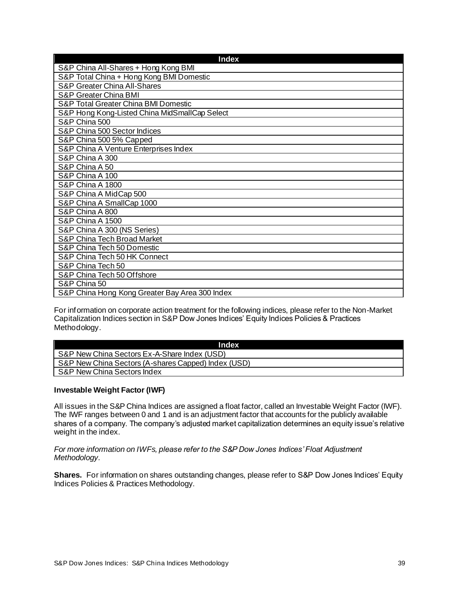| <b>Index</b>                                   |
|------------------------------------------------|
| S&P China All-Shares + Hong Kong BMI           |
| S&P Total China + Hong Kong BMI Domestic       |
| S&P Greater China All-Shares                   |
| S&P Greater China BMI                          |
| S&P Total Greater China BMI Domestic           |
| S&P Hong Kong-Listed China MidSmallCap Select  |
| S&P China 500                                  |
| S&P China 500 Sector Indices                   |
| S&P China 500 5% Capped                        |
| S&P China A Venture Enterprises Index          |
| S&P China A 300                                |
| S&P China A 50                                 |
| S&P China A 100                                |
| S&P China A 1800                               |
| S&P China A MidCap 500                         |
| S&P China A SmallCap 1000                      |
| S&P China A 800                                |
| S&P China A 1500                               |
| S&P China A 300 (NS Series)                    |
| S&P China Tech Broad Market                    |
| S&P China Tech 50 Domestic                     |
| S&P China Tech 50 HK Connect                   |
| S&P China Tech 50                              |
| S&P China Tech 50 Offshore                     |
| S&P China 50                                   |
| S&P China Hong Kong Greater Bay Area 300 Index |

For information on corporate action treatment for the following indices, please refer to the Non-Market Capitalization Indices section in S&P Dow Jones Indices' Equity Indices Policies & Practices Methodology.

| <b>Index</b>                                        |
|-----------------------------------------------------|
| S&P New China Sectors Ex-A-Share Index (USD)        |
| S&P New China Sectors (A-shares Capped) Index (USD) |
| S&P New China Sectors Index                         |

### <span id="page-39-0"></span>**Investable Weight Factor (IWF)**

All issues in the S&P China Indices are assigned a float factor, called an Investable Weight Factor (IWF). The IWF ranges between 0 and 1 and is an adjustment factor that accounts for the publicly available shares of a company. The company's adjusted market capitalization determines an equity issue's relative weight in the index.

*For more information on IWFs, please refer to the S&P Dow Jones Indices' Float Adjustment Methodology.*

**Shares.** For information on shares outstanding changes, please refer to S&P Dow Jones Indices' Equity Indices Policies & Practices Methodology.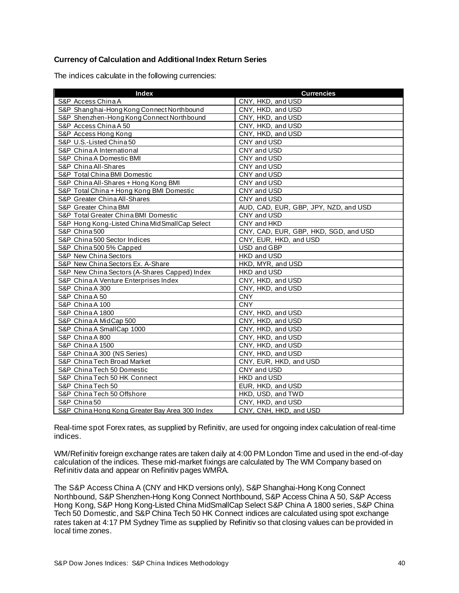### <span id="page-40-0"></span>**Currency of Calculation and Additional Index Return Series**

The indices calculate in the following currencies:

| <b>Index</b>                                   | <b>Currencies</b>                     |
|------------------------------------------------|---------------------------------------|
| S&P Access China A                             | CNY, HKD, and USD                     |
| S&P Shanghai-Hong Kong Connect Northbound      | CNY, HKD, and USD                     |
| S&P Shenzhen-Hong Kong Connect Northbound      | CNY, HKD, and USD                     |
| S&P Access China A 50                          | CNY, HKD, and USD                     |
| S&P Access Hong Kong                           | CNY, HKD, and USD                     |
| S&P U.S.-Listed China 50                       | CNY and USD                           |
| S&P China A International                      | CNY and USD                           |
| S&P China A Domestic BMI                       | CNY and USD                           |
| S&P China All-Shares                           | CNY and USD                           |
| S&P Total China BMI Domestic                   | CNY and USD                           |
| S&P China All-Shares + Hong Kong BMI           | CNY and USD                           |
| S&P Total China + Hong Kong BMI Domestic       | CNY and USD                           |
| S&P Greater China All-Shares                   | CNY and USD                           |
| S&P Greater China BMI                          | AUD, CAD, EUR, GBP, JPY, NZD, and USD |
| S&P Total Greater China BMI Domestic           | CNY and USD                           |
| S&P Hong Kong-Listed China MidSmallCap Select  | CNY and HKD                           |
| S&P China 500                                  | CNY, CAD, EUR, GBP, HKD, SGD, and USD |
| S&P China 500 Sector Indices                   | CNY, EUR, HKD, and USD                |
| S&P China 500 5% Capped                        | USD and GBP                           |
| S&P New China Sectors                          | HKD and USD                           |
| S&P New China Sectors Ex. A-Share              | HKD, MYR, and USD                     |
| S&P New China Sectors (A-Shares Capped) Index  | HKD and USD                           |
| S&P China A Venture Enterprises Index          | CNY, HKD, and USD                     |
| S&P China A 300                                | CNY, HKD, and USD                     |
| S&P China A 50                                 | <b>CNY</b>                            |
| S&P China A 100                                | <b>CNY</b>                            |
| S&P China A 1800                               | CNY, HKD, and USD                     |
| S&P China A MidCap 500                         | CNY, HKD, and USD                     |
| S&P China A SmallCap 1000                      | CNY, HKD, and USD                     |
| S&P China A 800                                | CNY, HKD, and USD                     |
| S&P China A 1500                               | CNY, HKD, and USD                     |
| S&P China A 300 (NS Series)                    | CNY, HKD, and USD                     |
| S&P China Tech Broad Market                    | CNY, EUR, HKD, and USD                |
| S&P China Tech 50 Domestic                     | CNY and USD                           |
| S&P China Tech 50 HK Connect                   | HKD and USD                           |
| S&P China Tech 50                              | EUR, HKD, and USD                     |
| S&P China Tech 50 Offshore                     | HKD, USD, and TWD                     |
| S&P China50                                    | CNY, HKD, and USD                     |
| S&P China Hong Kong Greater Bay Area 300 Index | CNY, CNH, HKD, and USD                |

Real-time spot Forex rates, as supplied by Refinitiv, are used for ongoing index calculation of real-time indices.

WM/Refinitiv foreign exchange rates are taken daily at 4:00 PM London Time and used in the end-of-day calculation of the indices. These mid-market fixings are calculated by The WM Company based on Refinitiv data and appear on Refinitiv pages WMRA.

The S&P Access China A (CNY and HKD versions only), S&P Shanghai-Hong Kong Connect Northbound, S&P Shenzhen-Hong Kong Connect Northbound, S&P Access China A 50, S&P Access Hong Kong, S&P Hong Kong-Listed China MidSmallCap Select S&P China A 1800 series, S&P China Tech 50 Domestic, and S&P China Tech 50 HK Connect indices are calculated using spot exchange rates taken at 4:17 PM Sydney Time as supplied by Refinitiv so that closing values can be provided in local time zones.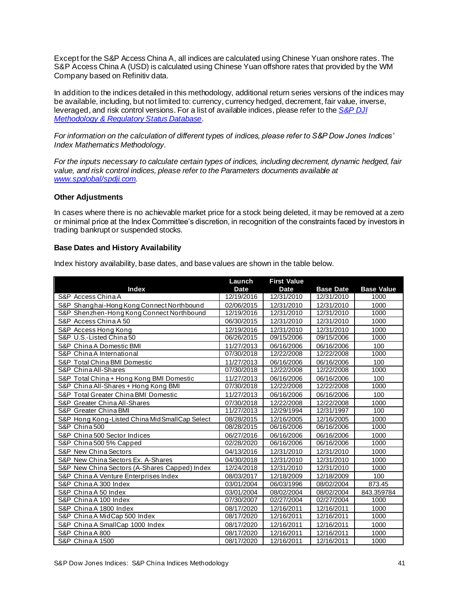Except for the S&P Access China A, all indices are calculated using Chinese Yuan onshore rates. The S&P Access China A (USD) is calculated using Chinese Yuan offshore rates that provided by the WM Company based on Refinitiv data.

In addition to the indices detailed in this methodology, additional return series versions of the indices may be available, including, but not limited to: currency, currency hedged, decrement, fair value, inverse, leveraged, and risk control versions. For a list of available indices, please refer to the *[S&P DJI](https://www.spglobal.com/spdji/en/governance/methodology-and-regulatory-status/)  [Methodology & Regulatory Status Database](https://www.spglobal.com/spdji/en/governance/methodology-and-regulatory-status/)*.

*For information on the calculation of different types of indices, please refer to S&P Dow Jones Indices' Index Mathematics Methodology*.

*For the inputs necessary to calculate certain types of indices, including decrement, dynamic hedged, fair value, and risk control indices, please refer to the Parameters documents available at [www.spglobal/spdji.com](http://www.spdji.com/).*

#### <span id="page-41-0"></span>**Other Adjustments**

In cases where there is no achievable market price for a stock being deleted, it may be removed at a zero or minimal price at the Index Committee's discretion, in recognition of the constraints faced by investors in trading bankrupt or suspended stocks.

#### <span id="page-41-1"></span>**Base Dates and History Availability**

Index history availability, base dates, and base values are shown in the table below.

|                                                 | Launch      | <b>First Value</b> |                  |                   |
|-------------------------------------------------|-------------|--------------------|------------------|-------------------|
| <b>Index</b>                                    | <b>Date</b> | <b>Date</b>        | <b>Base Date</b> | <b>Base Value</b> |
| S&P Access China A                              | 12/19/2016  | 12/31/2010         | 12/31/2010       | 1000              |
| S&P Shanghai-Hong Kong Connect Northbound       | 02/06/2015  | 12/31/2010         | 12/31/2010       | 1000              |
| S&P Shenzhen-Hong Kong Connect Northbound       | 12/19/2016  | 12/31/2010         | 12/31/2010       | 1000              |
| S&P Access China A 50                           | 06/30/2015  | 12/31/2010         | 12/31/2010       | 1000              |
| S&P Access Hong Kong                            | 12/19/2016  | 12/31/2010         | 12/31/2010       | 1000              |
| S&P U.S.-Listed China 50                        | 06/26/2015  | 09/15/2006         | 09/15/2006       | 1000              |
| S&P China A Domestic BMI                        | 11/27/2013  | 06/16/2006         | 06/16/2006       | 100               |
| S&P China A International                       | 07/30/2018  | 12/22/2008         | 12/22/2008       | 1000              |
| S&P Total China BMI Domestic                    | 11/27/2013  | 06/16/2006         | 06/16/2006       | 100               |
| S&P China All-Shares                            | 07/30/2018  | 12/22/2008         | 12/22/2008       | 1000              |
| S&P Total China + Hong Kong BMI Domestic        | 11/27/2013  | 06/16/2006         | 06/16/2006       | 100               |
| S&P China All-Shares + Hong Kong BMI            | 07/30/2018  | 12/22/2008         | 12/22/2008       | 1000              |
| S&P Total Greater China BMI Domestic            | 11/27/2013  | 06/16/2006         | 06/16/2006       | 100               |
| S&P Greater China All-Shares                    | 07/30/2018  | 12/22/2008         | 12/22/2008       | 1000              |
| S&P Greater China BMI                           | 11/27/2013  | 12/29/1994         | 12/31/1997       | 100               |
| S&P Hong Kong-Listed China Mid Small Cap Select | 08/28/2015  | 12/16/2005         | 12/16/2005       | 1000              |
| S&P China 500                                   | 08/28/2015  | 06/16/2006         | 06/16/2006       | 1000              |
| S&P China 500 Sector Indices                    | 06/27/2016  | 06/16/2006         | 06/16/2006       | 1000              |
| S&P China 500 5% Capped                         | 02/28/2020  | 06/16/2006         | 06/16/2006       | 1000              |
| <b>S&amp;P New China Sectors</b>                | 04/13/2016  | 12/31/2010         | 12/31/2010       | 1000              |
| S&P New China Sectors Ex. A-Shares              | 04/30/2018  | 12/31/2010         | 12/31/2010       | 1000              |
| S&P New China Sectors (A-Shares Capped) Index   | 12/24/2018  | 12/31/2010         | 12/31/2010       | 1000              |
| S&P China A Venture Enterprises Index           | 08/03/2017  | 12/18/2009         | 12/18/2009       | 100               |
| S&P China A 300 Index                           | 03/01/2004  | 06/03/1996         | 08/02/2004       | 873.45            |
| S&P China A 50 Index                            | 03/01/2004  | 08/02/2004         | 08/02/2004       | 843.359784        |
| S&P China A 100 Index                           | 07/30/2007  | 02/27/2004         | 02/27/2004       | 1000              |
| S&P China A 1800 Index                          | 08/17/2020  | 12/16/2011         | 12/16/2011       | 1000              |
| S&P China A MidCap 500 Index                    | 08/17/2020  | 12/16/2011         | 12/16/2011       | 1000              |
| S&P China A SmallCap 1000 Index                 | 08/17/2020  | 12/16/2011         | 12/16/2011       | 1000              |
| S&P China A 800                                 | 08/17/2020  | 12/16/2011         | 12/16/2011       | 1000              |
| S&P China A 1500                                | 08/17/2020  | 12/16/2011         | 12/16/2011       | 1000              |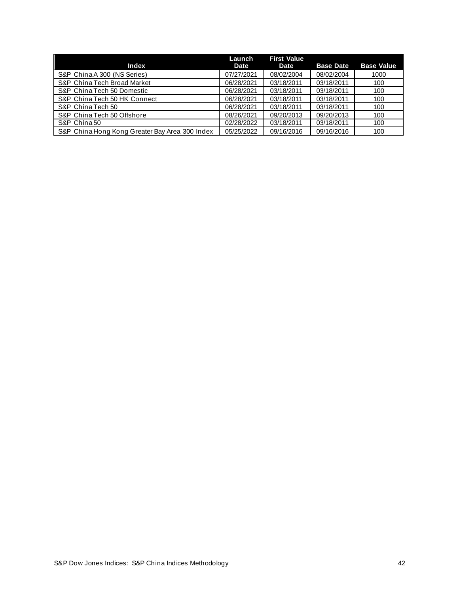| <b>Index</b>                                   | Launch<br>Date | <b>First Value</b><br>Date | <b>Base Date</b> | <b>Base Value</b> |
|------------------------------------------------|----------------|----------------------------|------------------|-------------------|
| S&P China A 300 (NS Series)                    | 07/27/2021     | 08/02/2004                 | 08/02/2004       | 1000              |
| S&P China Tech Broad Market                    | 06/28/2021     | 03/18/2011                 | 03/18/2011       | 100               |
| S&P China Tech 50 Domestic                     | 06/28/2021     | 03/18/2011                 | 03/18/2011       | 100               |
| S&P China Tech 50 HK Connect                   | 06/28/2021     | 03/18/2011                 | 03/18/2011       | 100               |
| S&P China Tech 50                              | 06/28/2021     | 03/18/2011                 | 03/18/2011       | 100               |
| S&P China Tech 50 Offshore                     | 08/26/2021     | 09/20/2013                 | 09/20/2013       | 100               |
| S&P China 50                                   | 02/28/2022     | 03/18/2011                 | 03/18/2011       | 100               |
| S&P China Hong Kong Greater Bay Area 300 Index | 05/25/2022     | 09/16/2016                 | 09/16/2016       | 100               |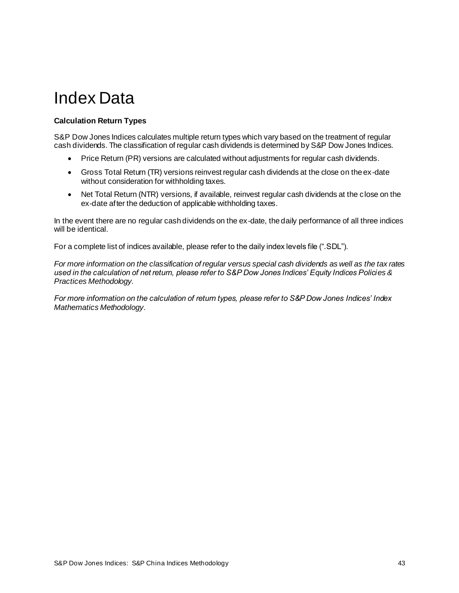# <span id="page-43-0"></span>Index Data

# <span id="page-43-1"></span>**Calculation Return Types**

S&P Dow Jones Indices calculates multiple return types which vary based on the treatment of regular cash dividends. The classification of regular cash dividends is determined by S&P Dow Jones Indices.

- Price Return (PR) versions are calculated without adjustments for regular cash dividends.
- Gross Total Return (TR) versions reinvest regular cash dividends at the close on the ex-date without consideration for withholding taxes.
- Net Total Return (NTR) versions, if available, reinvest regular cash dividends at the close on the ex-date after the deduction of applicable withholding taxes.

In the event there are no regular cash dividends on the ex-date, the daily performance of all three indices will be identical.

For a complete list of indices available, please refer to the daily index levels file (".SDL").

*For more information on the classification of regular versus special cash dividends as well as the tax rates used in the calculation of net return, please refer to S&P Dow Jones Indices' Equity Indices Policies & Practices Methodology*.

*For more information on the calculation of return types, please refer to S&P Dow Jones Indices' Index Mathematics Methodology*.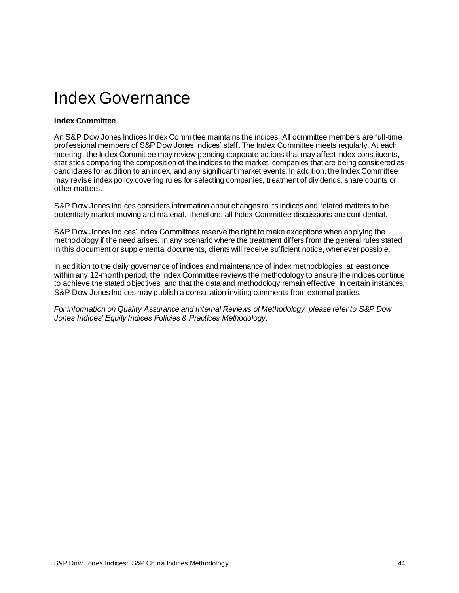# <span id="page-44-0"></span>Index Governance

#### <span id="page-44-1"></span>**Index Committee**

An S&P Dow Jones Indices Index Committee maintains the indices. All committee members are full-time professional members of S&P Dow Jones Indices' staff. The Index Committee meets regularly. At each meeting, the Index Committee may review pending corporate actions that may affect index constituents, statistics comparing the composition of the indices to the market, companies that are being considered as candidates for addition to an index, and any significant market events. In addition, the Index Committee may revise index policy covering rules for selecting companies, treatment of dividends, share counts or other matters.

S&P Dow Jones Indices considers information about changes to its indices and related matters to be potentially market moving and material. Therefore, all Index Committee discussions are confidential.

S&P Dow Jones Indices' Index Committees reserve the right to make exceptions when applying the methodology if the need arises. In any scenario where the treatment differs from the general rules stated in this document or supplemental documents, clients will receive sufficient notice, whenever possible.

In addition to the daily governance of indices and maintenance of index methodologies, at least once within any 12-month period, the Index Committee reviews the methodology to ensure the indices continue to achieve the stated objectives, and that the data and methodology remain effective. In certain instances, S&P Dow Jones Indices may publish a consultation inviting comments from external parties.

*For information on Quality Assurance and Internal Reviews of Methodology, please refer to S&P Dow Jones Indices' Equity Indices Policies & Practices Methodology*.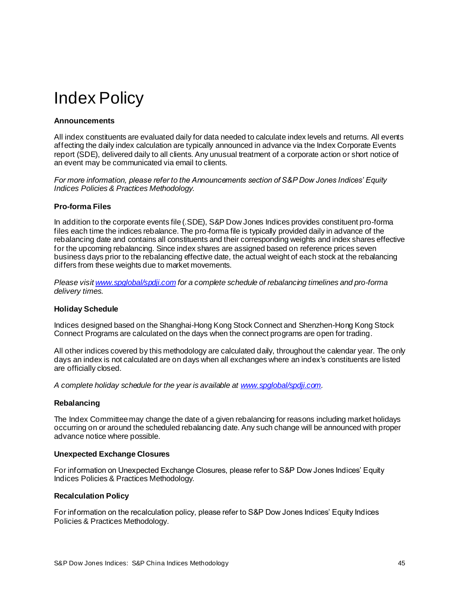# <span id="page-45-0"></span>Index Policy

### <span id="page-45-1"></span>**Announcements**

All index constituents are evaluated daily for data needed to calculate index levels and returns. All events affecting the daily index calculation are typically announced in advance via the Index Corporate Events report (SDE), delivered daily to all clients. Any unusual treatment of a corporate action or short notice of an event may be communicated via email to clients.

*For more information, please refer to the Announcements section of S&P Dow Jones Indices' Equity Indices Policies & Practices Methodology.*

### <span id="page-45-2"></span>**Pro-forma Files**

In addition to the corporate events file (.SDE), S&P Dow Jones Indices provides constituent pro-forma files each time the indices rebalance. The pro-forma file is typically provided daily in advance of the rebalancing date and contains all constituents and their corresponding weights and index shares effective for the upcoming rebalancing. Since index shares are assigned based on reference prices seven business days prior to the rebalancing effective date, the actual weight of each stock at the rebalancing differs from these weights due to market movements.

*Please visi[t www.spglobal/spdji.com](http://www.spdji.com/) for a complete schedule of rebalancing timelines and pro-forma delivery times.*

#### <span id="page-45-3"></span>**Holiday Schedule**

Indices designed based on the Shanghai-Hong Kong Stock Connect and Shenzhen-Hong Kong Stock Connect Programs are calculated on the days when the connect programs are open for trading.

All other indices covered by this methodology are calculated daily, throughout the calendar year. The only days an index is not calculated are on days when all exchanges where an index's constituents are listed are officially closed.

<span id="page-45-4"></span>*A complete holiday schedule for the year is available a[t www.spglobal/spdji.com](http://www.spdji.com/).*

#### **Rebalancing**

The Index Committee may change the date of a given rebalancing for reasons including market holidays occurring on or around the scheduled rebalancing date. Any such change will be announced with proper advance notice where possible.

#### <span id="page-45-5"></span>**Unexpected Exchange Closures**

For information on Unexpected Exchange Closures, please refer to S&P Dow Jones Indices' Equity Indices Policies & Practices Methodology*.*

#### <span id="page-45-6"></span>**Recalculation Policy**

For information on the recalculation policy, please refer to S&P Dow Jones Indices' Equity Indices Policies & Practices Methodology.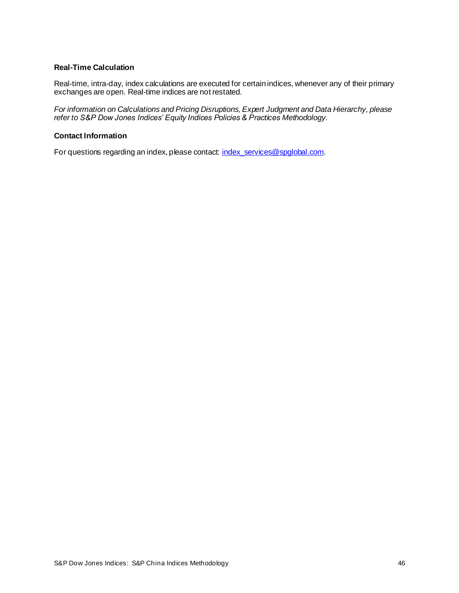#### <span id="page-46-0"></span>**Real-Time Calculation**

Real-time, intra-day, index calculations are executed for certain indices, whenever any of their primary exchanges are open. Real-time indices are not restated.

*For information on Calculations and Pricing Disruptions, Expert Judgment and Data Hierarchy, please refer to S&P Dow Jones Indices' Equity Indices Policies & Practices Methodology*.

### <span id="page-46-1"></span>**Contact Information**

For questions regarding an index, please contact[: index\\_services@spglobal.com](mailto:index_services@spglobal.com).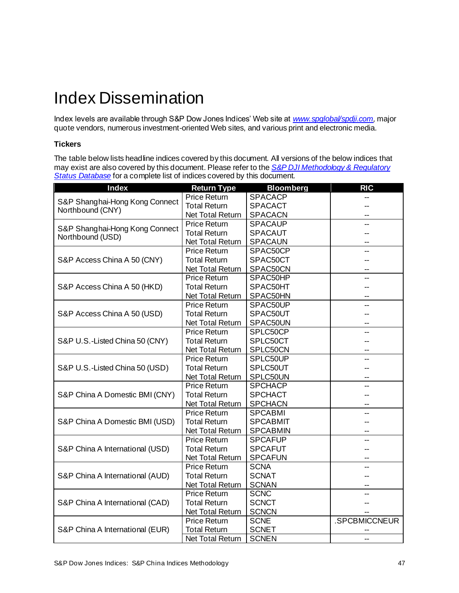# <span id="page-47-0"></span>Index Dissemination

Index levels are available through S&P Dow Jones Indices' Web site at *[www.spglobal/spdji.com](http://www.spdji.com/),* major quote vendors, numerous investment-oriented Web sites, and various print and electronic media.

### <span id="page-47-1"></span>**Tickers**

The table below lists headline indices covered by this document. All versions of the below indices that may exist are also covered by this document. Please refer to the *[S&P DJI Methodology & Regulatory](https://www.spglobal.com/spdji/en/governance/methodology-and-regulatory-status/)  [Status Database](https://www.spglobal.com/spdji/en/governance/methodology-and-regulatory-status/)* for a complete list of indices covered by this document.

| <b>Index</b>                                       | <b>Return Type</b>      | <b>Bloomberg</b> | <b>RIC</b>    |
|----------------------------------------------------|-------------------------|------------------|---------------|
| S&P Shanghai-Hong Kong Connect<br>Northbound (CNY) | <b>Price Return</b>     | <b>SPACACP</b>   |               |
|                                                    | <b>Total Return</b>     | <b>SPACACT</b>   |               |
|                                                    | <b>Net Total Return</b> | <b>SPACACN</b>   |               |
|                                                    | <b>Price Return</b>     | <b>SPACAUP</b>   |               |
| S&P Shanghai-Hong Kong Connect<br>Northbound (USD) | <b>Total Return</b>     | <b>SPACAUT</b>   |               |
|                                                    | <b>Net Total Return</b> | <b>SPACAUN</b>   |               |
|                                                    | <b>Price Return</b>     | SPAC50CP         |               |
| S&P Access China A 50 (CNY)                        | <b>Total Return</b>     | SPAC50CT         |               |
|                                                    | Net Total Return        | SPAC50CN         |               |
|                                                    | <b>Price Return</b>     | SPAC50HP         |               |
| S&P Access China A 50 (HKD)                        | <b>Total Return</b>     | SPAC50HT         |               |
|                                                    | Net Total Return        | SPAC50HN         |               |
|                                                    | <b>Price Return</b>     | SPAC50UP         | --            |
| S&P Access China A 50 (USD)                        | <b>Total Return</b>     | SPAC50UT         |               |
|                                                    | Net Total Return        | SPAC50UN         |               |
|                                                    | <b>Price Return</b>     | SPLC50CP         |               |
| S&P U.S.-Listed China 50 (CNY)                     | <b>Total Return</b>     | SPLC50CT         |               |
|                                                    | <b>Net Total Return</b> | SPLC50CN         |               |
|                                                    | <b>Price Return</b>     | SPLC50UP         |               |
| S&P U.S.-Listed China 50 (USD)                     | <b>Total Return</b>     | SPLC50UT         |               |
|                                                    | <b>Net Total Return</b> | SPLC50UN         | --            |
|                                                    | <b>Price Return</b>     | <b>SPCHACP</b>   | $-$           |
| S&P China A Domestic BMI (CNY)                     | <b>Total Return</b>     | <b>SPCHACT</b>   |               |
|                                                    | <b>Net Total Return</b> | <b>SPCHACN</b>   |               |
|                                                    | <b>Price Return</b>     | <b>SPCABMI</b>   |               |
| S&P China A Domestic BMI (USD)                     | <b>Total Return</b>     | <b>SPCABMIT</b>  |               |
|                                                    | <b>Net Total Return</b> | <b>SPCABMIN</b>  |               |
|                                                    | <b>Price Return</b>     | <b>SPCAFUP</b>   |               |
| S&P China A International (USD)                    | <b>Total Return</b>     | <b>SPCAFUT</b>   |               |
|                                                    | Net Total Return        | <b>SPCAFUN</b>   |               |
|                                                    | <b>Price Return</b>     | <b>SCNA</b>      |               |
| S&P China A International (AUD)                    | <b>Total Return</b>     | <b>SCNAT</b>     |               |
|                                                    | <b>Net Total Return</b> | <b>SCNAN</b>     |               |
| S&P China A International (CAD)                    | <b>Price Return</b>     | <b>SCNC</b>      |               |
|                                                    | <b>Total Return</b>     | <b>SCNCT</b>     |               |
|                                                    | Net Total Return        | <b>SCNCN</b>     |               |
|                                                    | <b>Price Return</b>     | <b>SCNE</b>      | .SPCBMICCNEUR |
| S&P China A International (EUR)                    | <b>Total Return</b>     | <b>SCNET</b>     |               |
|                                                    | Net Total Return        | <b>SCNEN</b>     |               |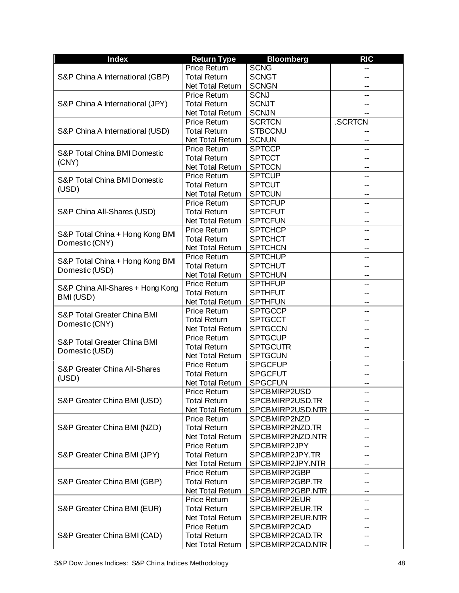| <b>Index</b>                                  | <b>Return Type</b>      | <b>Bloomberg</b> | <b>RIC</b> |
|-----------------------------------------------|-------------------------|------------------|------------|
|                                               | <b>Price Return</b>     | <b>SCNG</b>      |            |
| S&P China A International (GBP)               | <b>Total Return</b>     | <b>SCNGT</b>     |            |
|                                               | Net Total Return        | <b>SCNGN</b>     |            |
|                                               | <b>Price Return</b>     | <b>SCNJ</b>      |            |
| S&P China A International (JPY)               | <b>Total Return</b>     | <b>SCNJT</b>     |            |
|                                               | Net Total Return        | <b>SCNJN</b>     |            |
|                                               | <b>Price Return</b>     | <b>SCRTCN</b>    | .SCRTCN    |
| S&P China A International (USD)               | <b>Total Return</b>     | <b>STBCCNU</b>   |            |
|                                               | <b>Net Total Return</b> | <b>SCNUN</b>     |            |
| <b>S&amp;P Total China BMI Domestic</b>       | <b>Price Return</b>     | <b>SPTCCP</b>    |            |
| (CNY)                                         | <b>Total Return</b>     | <b>SPTCCT</b>    |            |
|                                               | Net Total Return        | <b>SPTCCN</b>    |            |
| <b>S&amp;P Total China BMI Domestic</b>       | <b>Price Return</b>     | <b>SPTCUP</b>    |            |
| (USD)                                         | <b>Total Return</b>     | <b>SPTCUT</b>    |            |
|                                               | Net Total Return        | <b>SPTCUN</b>    |            |
|                                               | <b>Price Return</b>     | <b>SPTCFUP</b>   |            |
| S&P China All-Shares (USD)                    | <b>Total Return</b>     | <b>SPTCFUT</b>   |            |
|                                               | Net Total Return        | <b>SPTCFUN</b>   |            |
|                                               | <b>Price Return</b>     | <b>SPTCHCP</b>   |            |
| S&P Total China + Hong Kong BMI               | <b>Total Return</b>     | <b>SPTCHCT</b>   |            |
| Domestic (CNY)                                | Net Total Return        | <b>SPTCHCN</b>   |            |
|                                               | <b>Price Return</b>     | <b>SPTCHUP</b>   |            |
| S&P Total China + Hong Kong BMI               | <b>Total Return</b>     | <b>SPTCHUT</b>   |            |
| Domestic (USD)                                | Net Total Return        | <b>SPTCHUN</b>   |            |
|                                               | <b>Price Return</b>     | <b>SPTHFUP</b>   |            |
| S&P China All-Shares + Hong Kong<br>BMI (USD) | <b>Total Return</b>     | <b>SPTHFUT</b>   |            |
|                                               | Net Total Return        | <b>SPTHFUN</b>   |            |
| <b>S&amp;P Total Greater China BMI</b>        | <b>Price Return</b>     | <b>SPTGCCP</b>   |            |
|                                               | <b>Total Return</b>     | <b>SPTGCCT</b>   |            |
| Domestic (CNY)                                | Net Total Return        | <b>SPTGCCN</b>   |            |
| <b>S&amp;P Total Greater China BMI</b>        | <b>Price Return</b>     | <b>SPTGCUP</b>   |            |
|                                               | <b>Total Return</b>     | <b>SPTGCUTR</b>  |            |
| Domestic (USD)                                | Net Total Return        | <b>SPTGCUN</b>   |            |
| <b>S&amp;P Greater China All-Shares</b>       | <b>Price Return</b>     | <b>SPGCFUP</b>   |            |
| (USD)                                         | <b>Total Return</b>     | <b>SPGCFUT</b>   |            |
|                                               | Net Total Return        | <b>SPGCFUN</b>   |            |
|                                               | <b>Price Return</b>     | SPCBMIRP2USD     |            |
| S&P Greater China BMI (USD)                   | <b>Total Return</b>     | SPCBMIRP2USD.TR  |            |
|                                               | Net Total Return        | SPCBMIRP2USD.NTR |            |
|                                               | <b>Price Return</b>     | SPCBMIRP2NZD     |            |
| S&P Greater China BMI (NZD)                   | <b>Total Return</b>     | SPCBMIRP2NZD.TR  |            |
|                                               | Net Total Return        | SPCBMIRP2NZD.NTR |            |
|                                               | <b>Price Return</b>     | SPCBMIRP2JPY     |            |
| S&P Greater China BMI (JPY)                   | <b>Total Return</b>     | SPCBMIRP2JPY.TR  |            |
|                                               | Net Total Return        | SPCBMIRP2JPY.NTR |            |
| S&P Greater China BMI (GBP)                   | <b>Price Return</b>     | SPCBMIRP2GBP     |            |
|                                               | <b>Total Return</b>     | SPCBMIRP2GBP.TR  |            |
|                                               | Net Total Return        | SPCBMIRP2GBP.NTR |            |
|                                               | <b>Price Return</b>     | SPCBMIRP2EUR     |            |
| S&P Greater China BMI (EUR)                   | <b>Total Return</b>     | SPCBMIRP2EUR.TR  |            |
|                                               | Net Total Return        | SPCBMIRP2EUR.NTR | --         |
|                                               | <b>Price Return</b>     | SPCBMIRP2CAD     |            |
| S&P Greater China BMI (CAD)                   | <b>Total Return</b>     | SPCBMIRP2CAD.TR  |            |
|                                               | Net Total Return        | SPCBMIRP2CAD.NTR |            |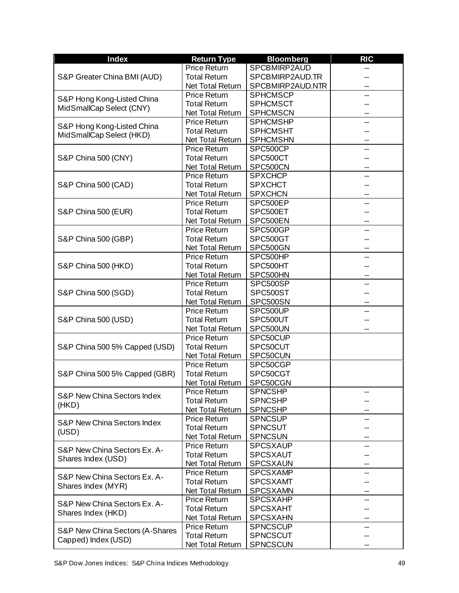| <b>Index</b>                                       | <b>Return Type</b>      | <b>Bloomberg</b> | <b>RIC</b> |
|----------------------------------------------------|-------------------------|------------------|------------|
|                                                    | <b>Price Return</b>     | SPCBMIRP2AUD     |            |
| S&P Greater China BMI (AUD)                        | <b>Total Return</b>     | SPCBMIRP2AUD.TR  |            |
|                                                    | Net Total Return        | SPCBMIRP2AUD.NTR |            |
|                                                    | <b>Price Return</b>     | <b>SPHCMSCP</b>  |            |
| S&P Hong Kong-Listed China                         | <b>Total Return</b>     | <b>SPHCMSCT</b>  |            |
| MidSmallCap Select (CNY)                           | Net Total Return        | <b>SPHCMSCN</b>  |            |
|                                                    | <b>Price Return</b>     | <b>SPHCMSHP</b>  |            |
| S&P Hong Kong-Listed China                         | <b>Total Return</b>     | <b>SPHCMSHT</b>  |            |
| MidSmallCap Select (HKD)                           | Net Total Return        | <b>SPHCMSHN</b>  |            |
|                                                    | <b>Price Return</b>     | SPC500CP         |            |
| S&P China 500 (CNY)                                | <b>Total Return</b>     | SPC500CT         |            |
|                                                    | Net Total Return        | SPC500CN         |            |
|                                                    | <b>Price Return</b>     | <b>SPXCHCP</b>   |            |
| S&P China 500 (CAD)                                | <b>Total Return</b>     | <b>SPXCHCT</b>   |            |
|                                                    | Net Total Return        | <b>SPXCHCN</b>   |            |
|                                                    | <b>Price Return</b>     | SPC500EP         |            |
| S&P China 500 (EUR)                                | <b>Total Return</b>     | SPC500ET         |            |
|                                                    | Net Total Return        | SPC500EN         |            |
|                                                    | <b>Price Return</b>     | SPC500GP         |            |
| S&P China 500 (GBP)                                | <b>Total Return</b>     | SPC500GT         |            |
|                                                    | Net Total Return        | SPC500GN         |            |
|                                                    | <b>Price Return</b>     | SPC500HP         |            |
| S&P China 500 (HKD)                                | <b>Total Return</b>     | SPC500HT         |            |
|                                                    | Net Total Return        | SPC500HN         |            |
|                                                    | <b>Price Return</b>     | SPC500SP         |            |
| S&P China 500 (SGD)                                | <b>Total Return</b>     | SPC500ST         |            |
|                                                    | Net Total Return        | SPC500SN         |            |
|                                                    | <b>Price Return</b>     | SPC500UP         |            |
| S&P China 500 (USD)                                | <b>Total Return</b>     | SPC500UT         |            |
|                                                    | Net Total Return        | SPC500UN         |            |
|                                                    | <b>Price Return</b>     | SPC50CUP         |            |
| S&P China 500 5% Capped (USD)                      | <b>Total Return</b>     | SPC50CUT         |            |
|                                                    | Net Total Return        | SPC50CUN         |            |
|                                                    | <b>Price Return</b>     | SPC50CGP         |            |
| S&P China 500 5% Capped (GBR)                      | <b>Total Return</b>     | SPC50CGT         |            |
|                                                    | Net Total Return        | SPC50CGN         |            |
|                                                    | Price Return            | SPNCSHP          | --         |
| S&P New China Sectors Index                        | <b>Total Return</b>     | <b>SPNCSHP</b>   |            |
| (HKD)                                              | Net Total Return        | <b>SPNCSHP</b>   |            |
|                                                    | <b>Price Return</b>     | <b>SPNCSUP</b>   |            |
| <b>S&amp;P New China Sectors Index</b>             | <b>Total Return</b>     | <b>SPNCSUT</b>   |            |
| (USD)                                              | Net Total Return        | <b>SPNCSUN</b>   |            |
|                                                    | <b>Price Return</b>     | <b>SPCSXAUP</b>  |            |
| S&P New China Sectors Ex. A-                       | <b>Total Return</b>     | SPCSXAUT         |            |
| Shares Index (USD)                                 | Net Total Return        | <b>SPCSXAUN</b>  |            |
| S&P New China Sectors Ex. A-<br>Shares Index (MYR) | <b>Price Return</b>     | <b>SPCSXAMP</b>  | --         |
|                                                    | <b>Total Return</b>     | <b>SPCSXAMT</b>  |            |
|                                                    | Net Total Return        | <b>SPCSXAMN</b>  | ۰.         |
|                                                    | <b>Price Return</b>     | <b>SPCSXAHP</b>  | --         |
| S&P New China Sectors Ex. A-                       | <b>Total Return</b>     | <b>SPCSXAHT</b>  |            |
| Shares Index (HKD)                                 | Net Total Return        | <b>SPCSXAHN</b>  | -−         |
|                                                    | <b>Price Return</b>     | <b>SPNCSCUP</b>  | --         |
| S&P New China Sectors (A-Shares                    | <b>Total Return</b>     | <b>SPNCSCUT</b>  |            |
| Capped) Index (USD)                                | <b>Net Total Return</b> | <b>SPNCSCUN</b>  |            |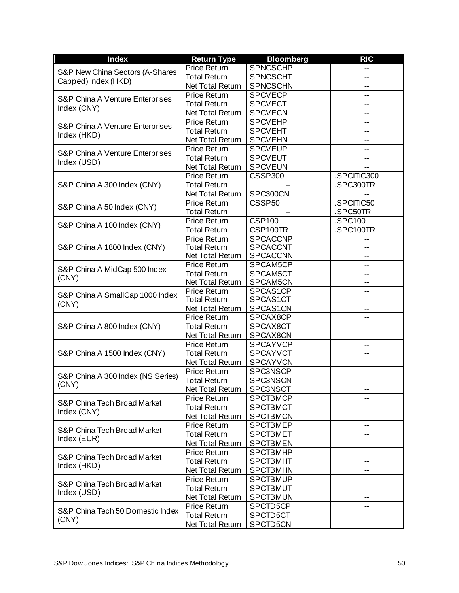| <b>Index</b>                                   | <b>Return Type</b>      | <b>Bloomberg</b>     | <b>RIC</b>  |
|------------------------------------------------|-------------------------|----------------------|-------------|
| S&P New China Sectors (A-Shares                | Price Return            | <b>SPNCSCHP</b>      |             |
| Capped) Index (HKD)                            | <b>Total Return</b>     | <b>SPNCSCHT</b>      |             |
|                                                | Net Total Return        | <b>SPNCSCHN</b>      |             |
| S&P China A Venture Enterprises                | <b>Price Return</b>     | <b>SPCVECP</b>       |             |
| Index (CNY)                                    | <b>Total Return</b>     | <b>SPCVECT</b>       |             |
|                                                | Net Total Return        | <b>SPCVECN</b>       |             |
| S&P China A Venture Enterprises                | <b>Price Return</b>     | <b>SPCVEHP</b>       |             |
| Index (HKD)                                    | <b>Total Return</b>     | <b>SPCVEHT</b>       |             |
|                                                | Net Total Return        | <b>SPCVEHN</b>       |             |
|                                                | <b>Price Return</b>     | <b>SPCVEUP</b>       | --          |
| S&P China A Venture Enterprises<br>Index (USD) | <b>Total Return</b>     | <b>SPCVEUT</b>       |             |
|                                                | Net Total Return        | <b>SPCVEUN</b>       |             |
|                                                | <b>Price Return</b>     | <b>CSSP300</b>       | .SPCITIC300 |
| S&P China A 300 Index (CNY)                    | <b>Total Return</b>     |                      | .SPC300TR   |
|                                                | Net Total Return        | SPC300CN             |             |
|                                                | <b>Price Return</b>     | CSSP <sub>50</sub>   | .SPCITIC50  |
| S&P China A 50 Index (CNY)                     | <b>Total Return</b>     |                      | SPC50TR     |
|                                                | <b>Price Return</b>     | <b>CSP100</b>        | .SPC100     |
| S&P China A 100 Index (CNY)                    | <b>Total Return</b>     | CSP100TR             | SPC100TR    |
|                                                | <b>Price Return</b>     | <b>SPCACCNP</b>      |             |
| S&P China A 1800 Index (CNY)                   | <b>Total Return</b>     | <b>SPCACCNT</b>      |             |
|                                                | Net Total Return        | <b>SPCACCNN</b>      |             |
|                                                | <b>Price Return</b>     | SPCAM5CP             |             |
| S&P China A MidCap 500 Index                   | <b>Total Return</b>     | SPCAM5CT             |             |
| (CNY)                                          | Net Total Return        | SPCAM5CN             |             |
|                                                | <b>Price Return</b>     | SPCAS1CP             |             |
| S&P China A SmallCap 1000 Index                | <b>Total Return</b>     | SPCAS1CT             |             |
| (CNY)                                          | Net Total Return        | SPCAS1CN             |             |
|                                                | Price Return            | SPCAX8CP             |             |
| S&P China A 800 Index (CNY)                    | <b>Total Return</b>     | SPCAX8CT             |             |
|                                                | Net Total Return        | SPCAX8CN             |             |
|                                                | Price Return            | <b>SPCAYVCP</b>      | -−          |
| S&P China A 1500 Index (CNY)                   | <b>Total Return</b>     | <b>SPCAYVCT</b>      |             |
|                                                | Net Total Return        | <b>SPCAYVCN</b>      |             |
|                                                | <b>Price Return</b>     | <b>SPC3NSCP</b>      |             |
| S&P China A 300 Index (NS Series)              | <b>Total Return</b>     | <b>SPC3NSCN</b>      |             |
| (CNY)                                          | Net Total Return        | SPC3NSCT             |             |
|                                                | <b>Price Return</b>     | <b>SPCTBMCP</b>      |             |
| S&P China Tech Broad Market                    | <b>Total Return</b>     | <b>SPCTBMCT</b>      |             |
| Index (CNY)                                    | Net Total Return        | <b>SPCTBMCN</b>      |             |
|                                                | <b>Price Return</b>     | <b>SPCTBMEP</b>      |             |
| S&P China Tech Broad Market                    | <b>Total Return</b>     | <b>SPCTBMET</b>      |             |
| Index (EUR)                                    | <b>Net Total Return</b> | <b>SPCTBMEN</b>      | --          |
| S&P China Tech Broad Market<br>Index (HKD)     | <b>Price Return</b>     | <b>SPCTBMHP</b>      |             |
|                                                | <b>Total Return</b>     | <b>SPCTBMHT</b>      |             |
|                                                | Net Total Return        | <b>SPCTBMHN</b>      |             |
|                                                | <b>Price Return</b>     | <b>SPCTBMUP</b>      |             |
| S&P China Tech Broad Market<br>Index (USD)     | <b>Total Return</b>     | <b>SPCTBMUT</b>      |             |
|                                                | Net Total Return        | <b>SPCTBMUN</b>      |             |
|                                                | <b>Price Return</b>     | SPCTD5CP             | --          |
| S&P China Tech 50 Domestic Index               | <b>Total Return</b>     | SPCTD5CT             |             |
| (CNY)                                          | Net Total Return        | SPCTD <sub>5CN</sub> |             |
|                                                |                         |                      |             |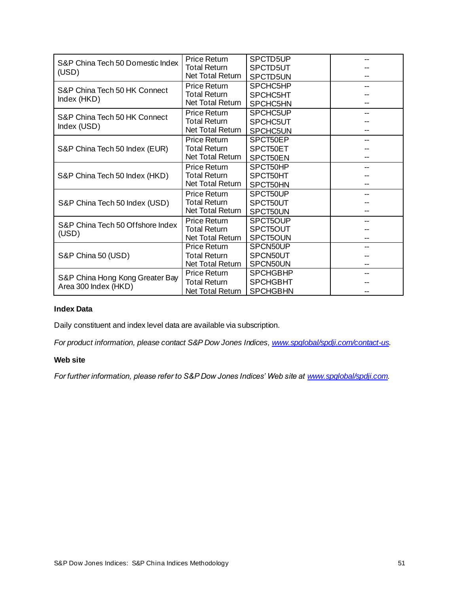| S&P China Tech 50 Domestic Index                        | <b>Price Return</b>     | SPCTD5UP        |  |
|---------------------------------------------------------|-------------------------|-----------------|--|
| (USD)                                                   | <b>Total Return</b>     | SPCTD5UT        |  |
|                                                         | Net Total Return        | SPCTD5UN        |  |
| S&P China Tech 50 HK Connect                            | <b>Price Return</b>     | SPCHC5HP        |  |
|                                                         | <b>Total Return</b>     | SPCHC5HT        |  |
| Index (HKD)                                             | Net Total Return        | SPCHC5HN        |  |
| S&P China Tech 50 HK Connect                            | <b>Price Return</b>     | SPCHC5UP        |  |
|                                                         | <b>Total Return</b>     | SPCHC5UT        |  |
| Index (USD)                                             | Net Total Return        | SPCHC5UN        |  |
|                                                         | <b>Price Return</b>     | SPCT50EP        |  |
| S&P China Tech 50 Index (EUR)                           | <b>Total Return</b>     | SPCT50ET        |  |
|                                                         | Net Total Return        | SPCT50EN        |  |
|                                                         | Price Return            | SPCT50HP        |  |
| S&P China Tech 50 Index (HKD)                           | <b>Total Return</b>     | SPCT50HT        |  |
|                                                         | Net Total Return        | SPCT50HN        |  |
|                                                         | <b>Price Return</b>     | SPCT50UP        |  |
| S&P China Tech 50 Index (USD)                           | <b>Total Return</b>     | SPCT50UT        |  |
|                                                         | <b>Net Total Return</b> | SPCT50UN        |  |
| S&P China Tech 50 Offshore Index                        | <b>Price Return</b>     | SPCT5OUP        |  |
| (USD)                                                   | <b>Total Return</b>     | SPCT5OUT        |  |
|                                                         | Net Total Return        | SPCT5OUN        |  |
|                                                         | <b>Price Return</b>     | SPCN50UP        |  |
| S&P China 50 (USD)                                      | <b>Total Return</b>     | SPCN50UT        |  |
|                                                         | Net Total Return        | SPCN50UN        |  |
|                                                         | <b>Price Return</b>     | <b>SPCHGBHP</b> |  |
| S&P China Hong Kong Greater Bay<br>Area 300 Index (HKD) | <b>Total Return</b>     | <b>SPCHGBHT</b> |  |
|                                                         | Net Total Return        | <b>SPCHGBHN</b> |  |

### <span id="page-51-0"></span>**Index Data**

Daily constituent and index level data are available via subscription.

<span id="page-51-1"></span>*For product information, please contact S&P Dow Jones Indices[, www.spglobal/spdji.com/contact-us](http://www.spdji.com/contact-us).* 

#### **Web site**

*For further information, please refer to S&P Dow Jones Indices' Web site a[t www.spglobal/spdji.com](http://www.spdji.com/).*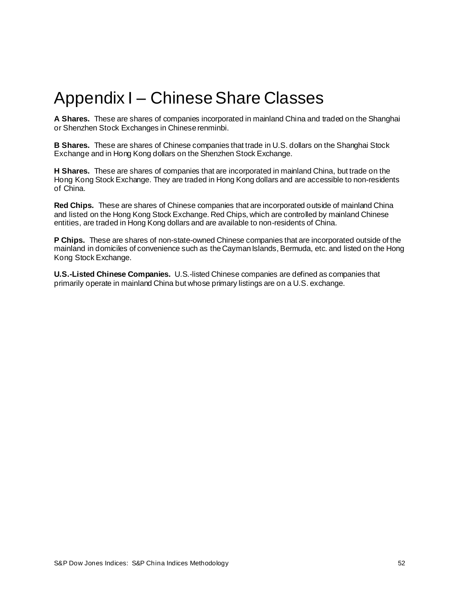# <span id="page-52-0"></span>Appendix I – Chinese Share Classes

**A Shares.** These are shares of companies incorporated in mainland China and traded on the Shanghai or Shenzhen Stock Exchanges in Chinese renminbi.

**B Shares.** These are shares of Chinese companies that trade in U.S. dollars on the Shanghai Stock Exchange and in Hong Kong dollars on the Shenzhen Stock Exchange.

**H Shares.** These are shares of companies that are incorporated in mainland China, but trade on the Hong Kong Stock Exchange. They are traded in Hong Kong dollars and are accessible to non-residents of China.

**Red Chips.** These are shares of Chinese companies that are incorporated outside of mainland China and listed on the Hong Kong Stock Exchange. Red Chips, which are controlled by mainland Chinese entities, are traded in Hong Kong dollars and are available to non-residents of China.

**P Chips.** These are shares of non-state-owned Chinese companies that are incorporated outside of the mainland in domiciles of convenience such as the Cayman Islands, Bermuda, etc. and listed on the Hong Kong Stock Exchange.

**U.S.-Listed Chinese Companies.** U.S.-listed Chinese companies are defined as companies that primarily operate in mainland China but whose primary listings are on a U.S. exchange.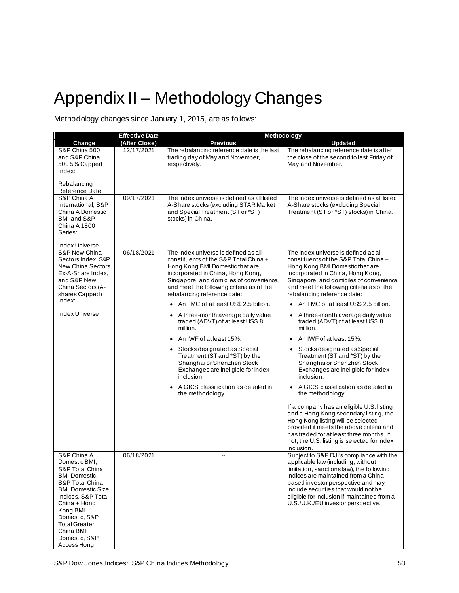# <span id="page-53-0"></span>Appendix II – Methodology Changes

Methodology changes since January 1, 2015, are as follows:

|                                                                                                                                                                                                                                                                | <b>Effective Date</b> | Methodology                                                                                                                                                                                                                                                                                                                                                                                                                                                                                                                                                                                                                                                                                           |                                                                                                                                                                                                                                                                                                                                                                                                                                                                                                                                                                                                                                                                                                                                                                                                                                                                                                                                                     |
|----------------------------------------------------------------------------------------------------------------------------------------------------------------------------------------------------------------------------------------------------------------|-----------------------|-------------------------------------------------------------------------------------------------------------------------------------------------------------------------------------------------------------------------------------------------------------------------------------------------------------------------------------------------------------------------------------------------------------------------------------------------------------------------------------------------------------------------------------------------------------------------------------------------------------------------------------------------------------------------------------------------------|-----------------------------------------------------------------------------------------------------------------------------------------------------------------------------------------------------------------------------------------------------------------------------------------------------------------------------------------------------------------------------------------------------------------------------------------------------------------------------------------------------------------------------------------------------------------------------------------------------------------------------------------------------------------------------------------------------------------------------------------------------------------------------------------------------------------------------------------------------------------------------------------------------------------------------------------------------|
| Change                                                                                                                                                                                                                                                         | (After Close)         | <b>Previous</b>                                                                                                                                                                                                                                                                                                                                                                                                                                                                                                                                                                                                                                                                                       | <b>Updated</b>                                                                                                                                                                                                                                                                                                                                                                                                                                                                                                                                                                                                                                                                                                                                                                                                                                                                                                                                      |
| S&P China 500<br>and S&P China<br>500 5% Capped<br>Index:<br>Rebalancing<br>Reference Date                                                                                                                                                                     | 12/17/2021            | The rebalancing reference date is the last<br>trading day of May and November,<br>respectively.                                                                                                                                                                                                                                                                                                                                                                                                                                                                                                                                                                                                       | The rebalancing reference date is after<br>the close of the second to last Friday of<br>May and November.                                                                                                                                                                                                                                                                                                                                                                                                                                                                                                                                                                                                                                                                                                                                                                                                                                           |
| S&P China A<br>International, S&P<br>China A Domestic<br>BMI and S&P<br><b>China A 1800</b><br>Series:<br><b>Index Universe</b>                                                                                                                                | 09/17/2021            | The index universe is defined as all listed<br>A-Share stocks (excluding STAR Market<br>and Special Treatment (ST or *ST)<br>stocks) in China.                                                                                                                                                                                                                                                                                                                                                                                                                                                                                                                                                        | The index universe is defined as all listed<br>A-Share stocks (excluding Special<br>Treatment (ST or *ST) stocks) in China.                                                                                                                                                                                                                                                                                                                                                                                                                                                                                                                                                                                                                                                                                                                                                                                                                         |
| S&P New China<br>Sectors Index, S&P<br>New China Sectors<br>Ex-A-Share Index,<br>and S&P New<br>China Sectors (A-<br>shares Capped)<br>Index:<br>Index Universe                                                                                                | 06/18/2021            | The index universe is defined as all<br>constituents of the S&P Total China +<br>Hong Kong BMI Domestic that are<br>incorporated in China, Hong Kong,<br>Singapore, and domiciles of convenience,<br>and meet the following criteria as of the<br>rebalancing reference date:<br>An FMC of at least US\$ 2.5 billion.<br>$\bullet$<br>A three-month average daily value<br>٠<br>traded (ADVT) of at least US\$ 8<br>million.<br>An IWF of at least 15%.<br>$\bullet$<br>Stocks designated as Special<br>٠<br>Treatment (ST and *ST) by the<br>Shanghai or Shenzhen Stock<br>Exchanges are ineligible for index<br>inclusion.<br>A GICS classification as detailed in<br>$\bullet$<br>the methodology. | The index universe is defined as all<br>constituents of the S&P Total China +<br>Hong Kong BMI Domestic that are<br>incorporated in China, Hong Kong,<br>Singapore, and domiciles of convenience,<br>and meet the following criteria as of the<br>rebalancing reference date:<br>An FMC of at least US\$ 2.5 billion.<br>A three-month average daily value<br>traded (ADVT) of at least US\$ 8<br>million.<br>An IWF of at least 15%.<br>Stocks designated as Special<br>Treatment (ST and *ST) by the<br>Shanghai or Shenzhen Stock<br>Exchanges are ineligible for index<br>inclusion.<br>A GICS classification as detailed in<br>$\bullet$<br>the methodology.<br>If a company has an eligible U.S. listing<br>and a Hong Kong secondary listing, the<br>Hong Kong listing will be selected<br>provided it meets the above criteria and<br>has traded for at least three months. If<br>not, the U.S. listing is selected for index<br>inclusion. |
| S&P China A<br>Domestic BMI,<br>S&P Total China<br><b>BMI</b> Domestic,<br>S&P Total China<br><b>BMI Domestic Size</b><br>Indices, S&P Total<br>China + Hong<br>Kong BMI<br>Domestic, S&P<br><b>Total Greater</b><br>China BMI<br>Domestic, S&P<br>Access Hong | 06/18/2021            | --                                                                                                                                                                                                                                                                                                                                                                                                                                                                                                                                                                                                                                                                                                    | Subject to S&P DJI's compliance with the<br>applicable law (including, without<br>limitation, sanctions law), the following<br>indices are maintained from a China<br>based investor perspective and may<br>include securities that would not be<br>eligible for inclusion if maintained from a<br>U.S./U.K./EU investor perspective.                                                                                                                                                                                                                                                                                                                                                                                                                                                                                                                                                                                                               |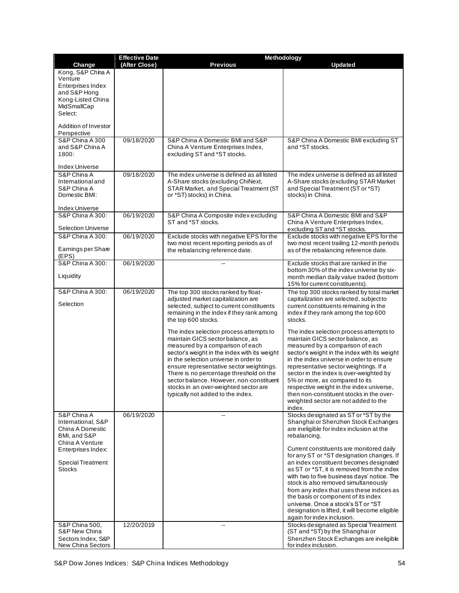|                                         | <b>Effective Date</b> | Methodology                                                                           |                                                                                           |  |
|-----------------------------------------|-----------------------|---------------------------------------------------------------------------------------|-------------------------------------------------------------------------------------------|--|
| Change<br>Kong, S&P China A             | (After Close)         | <b>Previous</b>                                                                       | <b>Updated</b>                                                                            |  |
| Venture                                 |                       |                                                                                       |                                                                                           |  |
| Enterprises Index<br>and S&P Hong       |                       |                                                                                       |                                                                                           |  |
| Kong-Listed China                       |                       |                                                                                       |                                                                                           |  |
| MidSmallCap                             |                       |                                                                                       |                                                                                           |  |
| Select:                                 |                       |                                                                                       |                                                                                           |  |
| Addition of Investor                    |                       |                                                                                       |                                                                                           |  |
| Perspective<br>S&P China A 300          | 09/18/2020            | S&P China A Domestic BMI and S&P                                                      | S&P China A Domestic BMI excluding ST                                                     |  |
| and S&P China A                         |                       | China A Venture Enterprises Index,                                                    | and *ST stocks.                                                                           |  |
| 1800:                                   |                       | excluding ST and *ST stocks.                                                          |                                                                                           |  |
| <b>Index Universe</b>                   |                       |                                                                                       |                                                                                           |  |
| S&P China A<br>International and        | 09/18/2020            | The index universe is defined as all listed                                           | The index universe is defined as all listed                                               |  |
| S&P China A                             |                       | A-Share stocks (excluding ChiNext,<br>STAR Market, and Special Treatment (ST          | A-Share stocks (excluding STAR Market<br>and Special Treatment (ST or *ST)                |  |
| Domestic BMI:                           |                       | or *ST) stocks) in China.                                                             | stocks) in China.                                                                         |  |
| <b>Index Universe</b>                   |                       |                                                                                       |                                                                                           |  |
| <b>S&amp;P China A 300:</b>             | 06/19/2020            | S&P China A Composite index excluding                                                 | S&P China A Domestic BMI and S&P                                                          |  |
| <b>Selection Universe</b>               |                       | ST and *ST stocks.                                                                    | China A Venture Enterprises Index,<br>excluding ST and *ST stocks.                        |  |
| S&P China A 300:                        | 06/19/2020            | Exclude stocks with negative EPS for the                                              | Exclude stocks with negative EPS for the                                                  |  |
| Earnings per Share                      |                       | two most recent reporting periods as of<br>the rebalancing reference date.            | two most recent trailing 12-month periods<br>as of the rebalancing reference date.        |  |
| (EPS)                                   |                       |                                                                                       |                                                                                           |  |
| S&P China A 300:                        | 06/19/2020            |                                                                                       | Exclude stocks that are ranked in the                                                     |  |
| Liquidity                               |                       |                                                                                       | bottom 30% of the index universe by six-<br>month median daily value traded (bottom       |  |
|                                         |                       |                                                                                       | 15% for current constituents).                                                            |  |
| S&P China A 300:                        | 06/19/2020            | The top 300 stocks ranked by float-<br>adjusted market capitalization are             | The top 300 stocks ranked by total market<br>capitalization are selected, subject to      |  |
| Selection                               |                       | selected, subject to current constituents                                             | current constituents remaining in the                                                     |  |
|                                         |                       | remaining in the index if they rank among<br>the top 600 stocks.                      | index if they rank among the top 600<br>stocks.                                           |  |
|                                         |                       |                                                                                       |                                                                                           |  |
|                                         |                       | The index selection process attempts to<br>maintain GICS sector balance, as           | The index selection process attempts to<br>maintain GICS sector balance, as               |  |
|                                         |                       | measured by a comparison of each                                                      | measured by a comparison of each                                                          |  |
|                                         |                       | sector's weight in the index with its weight<br>in the selection universe in order to | sector's weight in the index with its weight<br>in the index universe in order to ensure  |  |
|                                         |                       | ensure representative sector weightings.                                              | representative sector weightings. If a                                                    |  |
|                                         |                       | There is no percentage threshold on the                                               | sector in the index is over-weighted by                                                   |  |
|                                         |                       | sector balance. However, non-constituent<br>stocks in an over-weighted sector are     | 5% or more, as compared to its<br>respective weight in the index universe,                |  |
|                                         |                       | typically not added to the index.                                                     | then non-constituent stocks in the over-                                                  |  |
|                                         |                       |                                                                                       | weighted sector are not added to the<br>index.                                            |  |
| S&P China A                             | 06/19/2020            |                                                                                       | Stocks designated as ST or *ST by the                                                     |  |
| International, S&P<br>China A Domestic  |                       |                                                                                       | Shanghai or Shenzhen Stock Exchanges<br>are ineligible for index inclusion at the         |  |
| BMI, and S&P                            |                       |                                                                                       | rebalancing.                                                                              |  |
| China A Venture                         |                       |                                                                                       |                                                                                           |  |
| Enterprises Index:                      |                       |                                                                                       | Current constituents are monitored daily<br>for any ST or *ST designation changes. If     |  |
| Special Treatment                       |                       |                                                                                       | an index constituent becomes designated                                                   |  |
| <b>Stocks</b>                           |                       |                                                                                       | as ST or *ST, it is removed from the index<br>with two to five business days' notice. The |  |
|                                         |                       |                                                                                       | stock is also removed simultaneously                                                      |  |
|                                         |                       |                                                                                       | from any index that uses these indices as<br>the basis or component of its index          |  |
|                                         |                       |                                                                                       | universe. Once a stock's ST or *ST                                                        |  |
|                                         |                       |                                                                                       | designation is lifted, it will become eligible<br>again for index inclusion.              |  |
| <b>S&amp;P China 500,</b>               | 12/20/2019            | $\overline{a}$                                                                        | Stocks designated as Special Treatment                                                    |  |
| S&P New China                           |                       |                                                                                       | (ST and *ST) by the Shanghai or                                                           |  |
| Sectors Index, S&P<br>New China Sectors |                       |                                                                                       | Shenzhen Stock Exchanges are ineligible<br>for index inclusion.                           |  |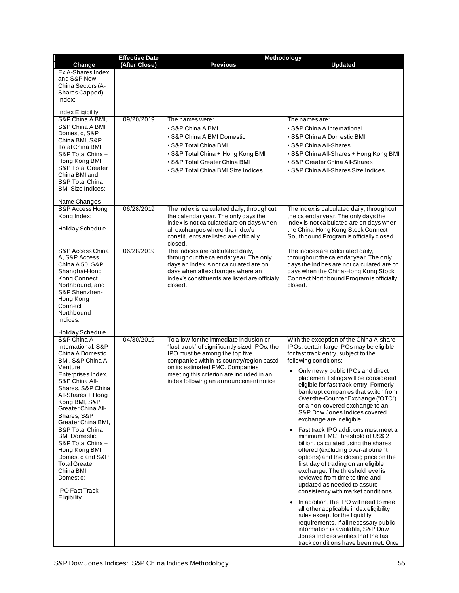|                                                                                                                                                                                                                                                                                                                                                                                                                                                   | <b>Effective Date</b> | Methodology                                                                                                                                                                                                                                                                                        |                                                                                                                                                                                                                                                                                                                                                                                                                                                                                                                                                                                                                                                                                                                                                                                                                                                                                                                                                                                                                                                                                                                                                |
|---------------------------------------------------------------------------------------------------------------------------------------------------------------------------------------------------------------------------------------------------------------------------------------------------------------------------------------------------------------------------------------------------------------------------------------------------|-----------------------|----------------------------------------------------------------------------------------------------------------------------------------------------------------------------------------------------------------------------------------------------------------------------------------------------|------------------------------------------------------------------------------------------------------------------------------------------------------------------------------------------------------------------------------------------------------------------------------------------------------------------------------------------------------------------------------------------------------------------------------------------------------------------------------------------------------------------------------------------------------------------------------------------------------------------------------------------------------------------------------------------------------------------------------------------------------------------------------------------------------------------------------------------------------------------------------------------------------------------------------------------------------------------------------------------------------------------------------------------------------------------------------------------------------------------------------------------------|
| Change                                                                                                                                                                                                                                                                                                                                                                                                                                            | (After Close)         | <b>Previous</b>                                                                                                                                                                                                                                                                                    | <b>Updated</b>                                                                                                                                                                                                                                                                                                                                                                                                                                                                                                                                                                                                                                                                                                                                                                                                                                                                                                                                                                                                                                                                                                                                 |
| Ex A-Shares Index<br>and S&P New<br>China Sectors (A-<br>Shares Capped)<br>Index:                                                                                                                                                                                                                                                                                                                                                                 |                       |                                                                                                                                                                                                                                                                                                    |                                                                                                                                                                                                                                                                                                                                                                                                                                                                                                                                                                                                                                                                                                                                                                                                                                                                                                                                                                                                                                                                                                                                                |
| Index Eligibility                                                                                                                                                                                                                                                                                                                                                                                                                                 |                       |                                                                                                                                                                                                                                                                                                    |                                                                                                                                                                                                                                                                                                                                                                                                                                                                                                                                                                                                                                                                                                                                                                                                                                                                                                                                                                                                                                                                                                                                                |
| S&P China A BMI,<br>S&P China A BMI<br>Domestic, S&P<br>China BMI, S&P<br>Total China BMI,<br>S&P Total China +<br>Hong Kong BMI,<br><b>S&amp;P Total Greater</b><br>China BMI and<br>S&P Total China<br><b>BMI Size Indices:</b><br>Name Changes                                                                                                                                                                                                 | 09/20/2019            | The names were:<br>• S&P China A BMI<br>• S&P China A BMI Domestic<br>• S&P Total China BMI<br>• S&P Total China + Hong Kong BMI<br>• S&P Total Greater China BMI<br>• S&P Total China BMI Size Indices                                                                                            | The names are:<br>• S&P China A International<br>• S&P China A Domestic BMI<br>• S&P China All-Shares<br>• S&P China All-Shares + Hong Kong BMI<br>• S&P Greater China All-Shares<br>• S&P China All-Shares Size Indices                                                                                                                                                                                                                                                                                                                                                                                                                                                                                                                                                                                                                                                                                                                                                                                                                                                                                                                       |
| S&P Access Hong<br>Kong Index:<br>Holiday Schedule                                                                                                                                                                                                                                                                                                                                                                                                | 06/28/2019            | The index is calculated daily, throughout<br>the calendar year. The only days the<br>index is not calculated are on days when<br>all exchanges where the index's<br>constituents are listed are officially<br>closed.                                                                              | The index is calculated daily, throughout<br>the calendar year. The only days the<br>index is not calculated are on days when<br>the China-Hong Kong Stock Connect<br>Southbound Program is officially closed.                                                                                                                                                                                                                                                                                                                                                                                                                                                                                                                                                                                                                                                                                                                                                                                                                                                                                                                                 |
| S&P Access China<br>A, S&P Access<br>China A 50, S&P<br>Shanghai-Hong<br>Kong Connect<br>Northbound, and<br>S&P Shenzhen-<br>Hong Kong<br>Connect<br>Northbound<br>Indices:<br>Holiday Schedule                                                                                                                                                                                                                                                   | 06/28/2019            | The indices are calculated daily,<br>throughout the calendar year. The only<br>days an index is not calculated are on<br>days when all exchanges where an<br>index's constituents are listed are officially<br>closed.                                                                             | The indices are calculated daily,<br>throughout the calendar year. The only<br>days the indices are not calculated are on<br>days when the China-Hong Kong Stock<br>Connect Northbound Program is officially<br>closed.                                                                                                                                                                                                                                                                                                                                                                                                                                                                                                                                                                                                                                                                                                                                                                                                                                                                                                                        |
| S&P China A<br>International, S&P<br>China A Domestic<br>BMI, S&P China A<br>Venture<br>Enterprises Index,<br>S&P China All-<br>Shares, S&P China<br>All-Shares + Hong<br>Kong BMI, S&P<br>Greater China All-<br>Shares, S&P<br>Greater China BMI,<br>S&P Total China<br><b>BMI</b> Domestic,<br>S&P Total China +<br>Hong Kong BMI<br>Domestic and S&P<br><b>Total Greater</b><br>China BMI<br>Domestic:<br><b>IPO Fast Track</b><br>Eligibility | 04/30/2019            | To allow for the immediate inclusion or<br>"fast-track" of significantly sized IPOs, the<br>IPO must be among the top five<br>companies within its country/region based<br>on its estimated FMC. Companies<br>meeting this criterion are included in an<br>index following an announcement notice. | With the exception of the China A-share<br>IPOs, certain large IPOs may be eligible<br>for fast track entry, subject to the<br>following conditions:<br>Only newly public IPOs and direct<br>placement listings will be considered<br>eligible for fast track entry. Formerly<br>bankrupt companies that switch from<br>Over-the-Counter Exchange ("OTC")<br>or a non-covered exchange to an<br>S&P Dow Jones Indices covered<br>exchange are ineligible.<br>Fast track IPO additions must meet a<br>minimum FMC threshold of US\$ 2<br>billion, calculated using the shares<br>offered (excluding over-allotment<br>options) and the closing price on the<br>first day of trading on an eligible<br>exchange. The threshold level is<br>reviewed from time to time and<br>updated as needed to assure<br>consistency with market conditions.<br>In addition, the IPO will need to meet<br>$\bullet$<br>all other applicable index eligibility<br>rules except for the liquidity<br>requirements. If all necessary public<br>information is available, S&P Dow<br>Jones Indices verifies that the fast<br>track conditions have been met. Once |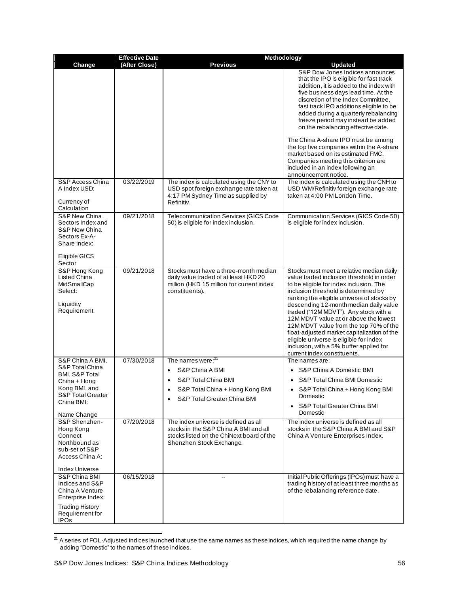| (After Close)<br><b>Previous</b><br>Change<br><b>Updated</b><br>S&P Dow Jones Indices announces<br>that the IPO is eligible for fast track<br>addition, it is added to the index with<br>five business days lead time. At the<br>discretion of the Index Committee,<br>fast track IPO additions eligible to be<br>added during a quarterly rebalancing<br>freeze period may instead be added<br>on the rebalancing effective date.<br>The China A-share IPO must be among<br>the top five companies within the A-share<br>market based on its estimated FMC.<br>Companies meeting this criterion are<br>included in an index following an<br>announcement notice.<br>S&P Access China<br>03/22/2019<br>The index is calculated using the CNY to<br>The index is calculated using the CNH to<br>A Index USD:<br>USD spot foreign exchange rate taken at<br>USD WM/Refinitiv foreign exchange rate<br>4:17 PM Sydney Time as supplied by<br>taken at 4:00 PM London Time. |
|-------------------------------------------------------------------------------------------------------------------------------------------------------------------------------------------------------------------------------------------------------------------------------------------------------------------------------------------------------------------------------------------------------------------------------------------------------------------------------------------------------------------------------------------------------------------------------------------------------------------------------------------------------------------------------------------------------------------------------------------------------------------------------------------------------------------------------------------------------------------------------------------------------------------------------------------------------------------------|
|                                                                                                                                                                                                                                                                                                                                                                                                                                                                                                                                                                                                                                                                                                                                                                                                                                                                                                                                                                         |
|                                                                                                                                                                                                                                                                                                                                                                                                                                                                                                                                                                                                                                                                                                                                                                                                                                                                                                                                                                         |
|                                                                                                                                                                                                                                                                                                                                                                                                                                                                                                                                                                                                                                                                                                                                                                                                                                                                                                                                                                         |
|                                                                                                                                                                                                                                                                                                                                                                                                                                                                                                                                                                                                                                                                                                                                                                                                                                                                                                                                                                         |
|                                                                                                                                                                                                                                                                                                                                                                                                                                                                                                                                                                                                                                                                                                                                                                                                                                                                                                                                                                         |
|                                                                                                                                                                                                                                                                                                                                                                                                                                                                                                                                                                                                                                                                                                                                                                                                                                                                                                                                                                         |
|                                                                                                                                                                                                                                                                                                                                                                                                                                                                                                                                                                                                                                                                                                                                                                                                                                                                                                                                                                         |
|                                                                                                                                                                                                                                                                                                                                                                                                                                                                                                                                                                                                                                                                                                                                                                                                                                                                                                                                                                         |
|                                                                                                                                                                                                                                                                                                                                                                                                                                                                                                                                                                                                                                                                                                                                                                                                                                                                                                                                                                         |
|                                                                                                                                                                                                                                                                                                                                                                                                                                                                                                                                                                                                                                                                                                                                                                                                                                                                                                                                                                         |
|                                                                                                                                                                                                                                                                                                                                                                                                                                                                                                                                                                                                                                                                                                                                                                                                                                                                                                                                                                         |
|                                                                                                                                                                                                                                                                                                                                                                                                                                                                                                                                                                                                                                                                                                                                                                                                                                                                                                                                                                         |
| Currency of<br>Refinitiv.<br>Calculation                                                                                                                                                                                                                                                                                                                                                                                                                                                                                                                                                                                                                                                                                                                                                                                                                                                                                                                                |
| S&P New China<br>09/21/2018<br>Telecommunication Services (GICS Code<br>Communication Services (GICS Code 50)                                                                                                                                                                                                                                                                                                                                                                                                                                                                                                                                                                                                                                                                                                                                                                                                                                                           |
| 50) is eligible for index inclusion.<br>Sectors Index and<br>is eligible for index inclusion.<br>S&P New China                                                                                                                                                                                                                                                                                                                                                                                                                                                                                                                                                                                                                                                                                                                                                                                                                                                          |
| Sectors Ex-A-<br>Share Index:                                                                                                                                                                                                                                                                                                                                                                                                                                                                                                                                                                                                                                                                                                                                                                                                                                                                                                                                           |
|                                                                                                                                                                                                                                                                                                                                                                                                                                                                                                                                                                                                                                                                                                                                                                                                                                                                                                                                                                         |
| Eligible GICS<br>Sector                                                                                                                                                                                                                                                                                                                                                                                                                                                                                                                                                                                                                                                                                                                                                                                                                                                                                                                                                 |
| S&P Hong Kong<br>09/21/2018<br>Stocks must have a three-month median<br>Stocks must meet a relative median daily<br>Listed China<br>daily value traded of at least HKD 20<br>value traded inclusion threshold in order                                                                                                                                                                                                                                                                                                                                                                                                                                                                                                                                                                                                                                                                                                                                                  |
| MidSmallCap<br>million (HKD 15 million for current index<br>to be eligible for index inclusion. The<br>Select:<br>constituents).<br>inclusion threshold is determined by                                                                                                                                                                                                                                                                                                                                                                                                                                                                                                                                                                                                                                                                                                                                                                                                |
| ranking the eligible universe of stocks by                                                                                                                                                                                                                                                                                                                                                                                                                                                                                                                                                                                                                                                                                                                                                                                                                                                                                                                              |
| Liquidity<br>descending 12-month median daily value<br>Requirement<br>traded ("12M MDVT"). Any stock with a                                                                                                                                                                                                                                                                                                                                                                                                                                                                                                                                                                                                                                                                                                                                                                                                                                                             |
| 12M MDVT value at or above the lowest                                                                                                                                                                                                                                                                                                                                                                                                                                                                                                                                                                                                                                                                                                                                                                                                                                                                                                                                   |
| 12M MDVT value from the top 70% of the<br>float-adjusted market capitalization of the                                                                                                                                                                                                                                                                                                                                                                                                                                                                                                                                                                                                                                                                                                                                                                                                                                                                                   |
| eligible universe is eligible for index                                                                                                                                                                                                                                                                                                                                                                                                                                                                                                                                                                                                                                                                                                                                                                                                                                                                                                                                 |
| inclusion, with a 5% buffer applied for<br>current index constituents.                                                                                                                                                                                                                                                                                                                                                                                                                                                                                                                                                                                                                                                                                                                                                                                                                                                                                                  |
| 07/30/2018<br>S&P China A BMI,<br>The names were: $21$<br>The names are:<br>S&P Total China                                                                                                                                                                                                                                                                                                                                                                                                                                                                                                                                                                                                                                                                                                                                                                                                                                                                             |
| S&P China A BMI<br>S&P China A Domestic BMI<br>$\bullet$<br>BMI, S&P Total                                                                                                                                                                                                                                                                                                                                                                                                                                                                                                                                                                                                                                                                                                                                                                                                                                                                                              |
| S&P Total China BMI<br>S&P Total China BMI Domestic<br>China + Hong<br>Kong BMI, and<br>S&P Total China + Hong Kong BMI<br>S&P Total China + Hong Kong BMI                                                                                                                                                                                                                                                                                                                                                                                                                                                                                                                                                                                                                                                                                                                                                                                                              |
| <b>S&amp;P Total Greater</b><br>Domestic<br>S&P Total Greater China BMI                                                                                                                                                                                                                                                                                                                                                                                                                                                                                                                                                                                                                                                                                                                                                                                                                                                                                                 |
| China BMI:<br>• S&P Total Greater China BMI                                                                                                                                                                                                                                                                                                                                                                                                                                                                                                                                                                                                                                                                                                                                                                                                                                                                                                                             |
| Domestic<br>Name Change<br>S&P Shenzhen-<br>07/20/2018<br>The index universe is defined as all<br>The index universe is defined as all                                                                                                                                                                                                                                                                                                                                                                                                                                                                                                                                                                                                                                                                                                                                                                                                                                  |
| Hong Kong<br>stocks in the S&P China A BMI and all<br>stocks in the S&P China A BMI and S&P                                                                                                                                                                                                                                                                                                                                                                                                                                                                                                                                                                                                                                                                                                                                                                                                                                                                             |
| Connect<br>stocks listed on the ChiNext board of the<br>China A Venture Enterprises Index.<br>Northbound as<br>Shenzhen Stock Exchange.                                                                                                                                                                                                                                                                                                                                                                                                                                                                                                                                                                                                                                                                                                                                                                                                                                 |
| sub-set of S&P                                                                                                                                                                                                                                                                                                                                                                                                                                                                                                                                                                                                                                                                                                                                                                                                                                                                                                                                                          |
| Access China A:                                                                                                                                                                                                                                                                                                                                                                                                                                                                                                                                                                                                                                                                                                                                                                                                                                                                                                                                                         |
| <b>Index Universe</b><br>S&P China BMI<br>06/15/2018<br>Initial Public Offerings (IPOs) must have a                                                                                                                                                                                                                                                                                                                                                                                                                                                                                                                                                                                                                                                                                                                                                                                                                                                                     |
| $\overline{\phantom{a}}$<br>Indices and S&P<br>trading history of at least three months as                                                                                                                                                                                                                                                                                                                                                                                                                                                                                                                                                                                                                                                                                                                                                                                                                                                                              |
| of the rebalancing reference date.<br>China A Venture<br>Enterprise Index:                                                                                                                                                                                                                                                                                                                                                                                                                                                                                                                                                                                                                                                                                                                                                                                                                                                                                              |
| <b>Trading History</b>                                                                                                                                                                                                                                                                                                                                                                                                                                                                                                                                                                                                                                                                                                                                                                                                                                                                                                                                                  |
| Requirement for<br><b>IPOs</b>                                                                                                                                                                                                                                                                                                                                                                                                                                                                                                                                                                                                                                                                                                                                                                                                                                                                                                                                          |

 $^{21}$  A series of FOL-Adjusted indices launched that use the same names as these indices, which required the name change by adding "Domestic" to the names of these indices.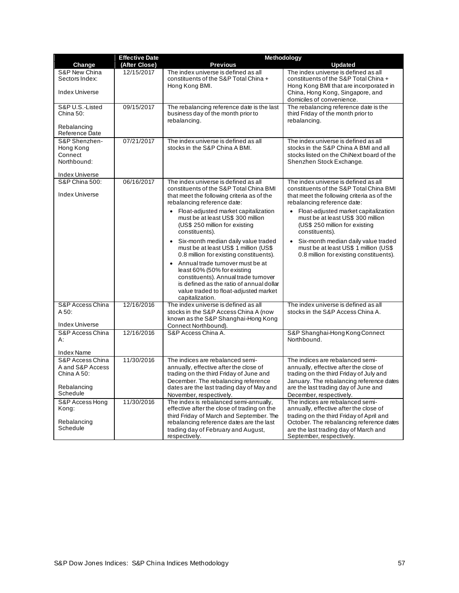|                                                      | <b>Effective Date</b> | Methodology                                                                                                                                                                                                       |                                                                                                                                                        |  |
|------------------------------------------------------|-----------------------|-------------------------------------------------------------------------------------------------------------------------------------------------------------------------------------------------------------------|--------------------------------------------------------------------------------------------------------------------------------------------------------|--|
| Change                                               | (After Close)         | <b>Previous</b>                                                                                                                                                                                                   | <b>Updated</b>                                                                                                                                         |  |
| S&P New China<br>Sectors Index:                      | 12/15/2017            | The index universe is defined as all<br>constituents of the S&P Total China +<br>Hong Kong BMI.                                                                                                                   | The index universe is defined as all<br>constituents of the S&P Total China +<br>Hong Kong BMI that are incorporated in                                |  |
| <b>Index Universe</b>                                |                       |                                                                                                                                                                                                                   | China, Hong Kong, Singapore, and<br>domiciles of convenience.                                                                                          |  |
| S&P U.S.-Listed<br>China 50:                         | 09/15/2017            | The rebalancing reference date is the last<br>business day of the month prior to<br>rebalancing.                                                                                                                  | The rebalancing reference date is the<br>third Friday of the month prior to<br>rebalancing.                                                            |  |
| Rebalancing<br>Reference Date                        |                       |                                                                                                                                                                                                                   |                                                                                                                                                        |  |
| S&P Shenzhen-<br>Hong Kong<br>Connect<br>Northbound: | 07/21/2017            | The index universe is defined as all<br>stocks in the S&P China A BMI.                                                                                                                                            | The index universe is defined as all<br>stocks in the S&P China A BMI and all<br>stocks listed on the ChiNext board of the<br>Shenzhen Stock Exchange. |  |
| <b>Index Universe</b>                                |                       |                                                                                                                                                                                                                   |                                                                                                                                                        |  |
| <b>S&amp;P China 500:</b><br><b>Index Universe</b>   | 06/16/2017            | The index universe is defined as all<br>constituents of the S&P Total China BMI<br>that meet the following criteria as of the                                                                                     | The index universe is defined as all<br>constituents of the S&P Total China BMI<br>that meet the following criteria as of the                          |  |
|                                                      |                       | rebalancing reference date:                                                                                                                                                                                       | rebalancing reference date:                                                                                                                            |  |
|                                                      |                       | Float-adjusted market capitalization<br>$\bullet$<br>must be at least US\$ 300 million<br>(US\$ 250 million for existing<br>constituents).                                                                        | Float-adjusted market capitalization<br>$\bullet$<br>must be at least US\$ 300 million<br>(US\$ 250 million for existing<br>constituents).             |  |
|                                                      |                       | • Six-month median daily value traded<br>must be at least US\$ 1 million (US\$<br>0.8 million for existing constituents).                                                                                         | Six-month median daily value traded<br>$\bullet$<br>must be at least US\$ 1 million (US\$<br>0.8 million for existing constituents).                   |  |
|                                                      |                       | • Annual trade turnover must be at<br>least 60% (50% for existing<br>constituents). Annual trade turnover<br>is defined as the ratio of annual dollar<br>value traded to float-adjusted market<br>capitalization. |                                                                                                                                                        |  |
| S&P Access China                                     | 12/16/2016            | The index universe is defined as all                                                                                                                                                                              | The index universe is defined as all                                                                                                                   |  |
| A 50:                                                |                       | stocks in the S&P Access China A (now<br>known as the S&P Shanghai-Hong Kong                                                                                                                                      | stocks in the S&P Access China A.                                                                                                                      |  |
| <b>Index Universe</b>                                |                       | Connect Northbound).                                                                                                                                                                                              |                                                                                                                                                        |  |
| S&P Access China<br>А:                               | 12/16/2016            | S&P Access China A                                                                                                                                                                                                | S&P Shanghai-Hong Kong Connect<br>Northbound.                                                                                                          |  |
| <b>Index Name</b><br>S&P Access China                | 11/30/2016            |                                                                                                                                                                                                                   | The indices are rebalanced semi-                                                                                                                       |  |
| A and S&P Access                                     |                       | The indices are rebalanced semi-<br>annually, effective after the close of                                                                                                                                        | annually, effective after the close of                                                                                                                 |  |
| China A 50:                                          |                       | trading on the third Friday of June and                                                                                                                                                                           | trading on the third Friday of July and                                                                                                                |  |
|                                                      |                       | December. The rebalancing reference                                                                                                                                                                               | January. The rebalancing reference dates                                                                                                               |  |
| Rebalancing<br>Schedule                              |                       | dates are the last trading day of May and                                                                                                                                                                         | are the last trading day of June and                                                                                                                   |  |
| S&P Access Hong                                      | 11/30/2016            | November, respectively.<br>The index is rebalanced semi-annually,                                                                                                                                                 | December, respectively.<br>The indices are rebalanced semi-                                                                                            |  |
| Kong:                                                |                       | effective after the close of trading on the                                                                                                                                                                       | annually, effective after the close of                                                                                                                 |  |
|                                                      |                       | third Friday of March and September. The                                                                                                                                                                          | trading on the third Friday of April and                                                                                                               |  |
| Rebalancing<br>Schedule                              |                       | rebalancing reference dates are the last                                                                                                                                                                          | October. The rebalancing reference dates                                                                                                               |  |
|                                                      |                       | trading day of February and August,<br>respectively.                                                                                                                                                              | are the last trading day of March and<br>September, respectively.                                                                                      |  |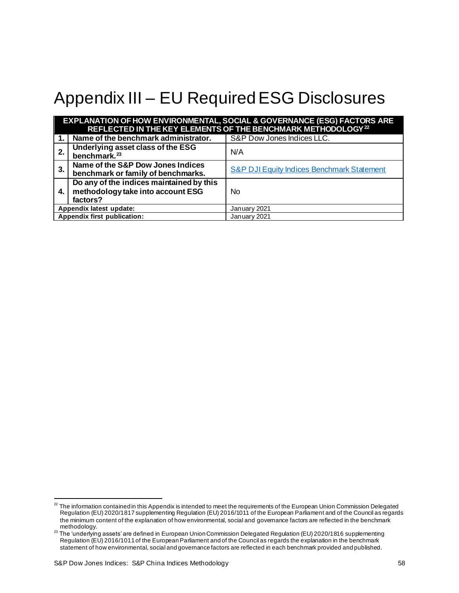# <span id="page-58-0"></span>Appendix III – EU Required ESG Disclosures

|                             | <b>EXPLANATION OF HOW ENVIRONMENTAL, SOCIAL &amp; GOVERNANCE (ESG) FACTORS ARE</b><br>REFLECTED IN THE KEY ELEMENTS OF THE BENCHMARK METHODOLOGY <sup>22</sup> |                                            |  |  |
|-----------------------------|----------------------------------------------------------------------------------------------------------------------------------------------------------------|--------------------------------------------|--|--|
| 1.                          | Name of the benchmark administrator.                                                                                                                           | S&P Dow Jones Indices LLC.                 |  |  |
| 2.                          | Underlying asset class of the ESG<br>benchmark. <sup>23</sup>                                                                                                  | N/A                                        |  |  |
| 3 <sub>l</sub>              | Name of the S&P Dow Jones Indices<br>benchmark or family of benchmarks.                                                                                        | S&P DJI Equity Indices Benchmark Statement |  |  |
| 4.                          | Do any of the indices maintained by this<br>methodology take into account ESG<br>factors?                                                                      | <b>No</b>                                  |  |  |
| Appendix latest update:     |                                                                                                                                                                | January 2021                               |  |  |
| Appendix first publication: |                                                                                                                                                                | January 2021                               |  |  |

<sup>&</sup>lt;sup>22</sup> The information contained in this Appendix is intended to meet the requirements of the European Union Commission Delegated Regulation (EU) 2020/1817 supplementing Regulation (EU) 2016/1011 of the European Parliament and of the Council as regards the minimum content of the explanation of how environmental, social and governance factors are reflected in the benchmark methodology.

<sup>23</sup> The 'underlying assets' are defined in European Union Commission Delegated Regulation (EU) 2020/1816 supplementing Regulation (EU) 2016/1011 of the European Parliament and of the Council as regards the explanation in the benchmark statement of how environmental, social and governance factors are reflected in each benchmark provided and published.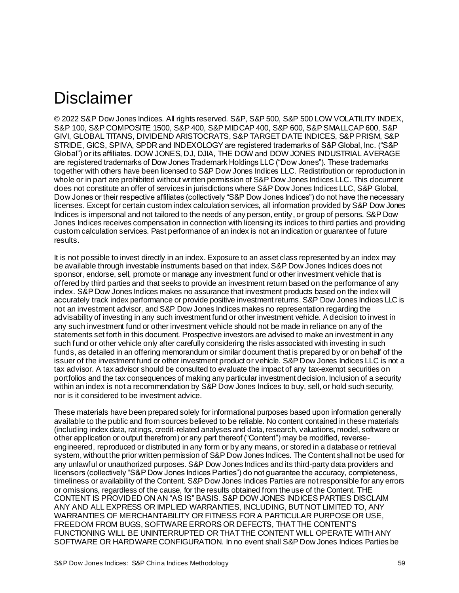# <span id="page-59-0"></span>Disclaimer

© 2022 S&P Dow Jones Indices. All rights reserved. S&P, S&P 500, S&P 500 LOW VOLATILITY INDEX, S&P 100, S&P COMPOSITE 1500, S&P 400, S&P MIDCAP 400, S&P 600, S&P SMALLCAP 600, S&P GIVI, GLOBAL TITANS, DIVIDEND ARISTOCRATS, S&P TARGET DATE INDICES, S&P PRISM, S&P STRIDE, GICS, SPIVA, SPDR and INDEXOLOGY are registered trademarks of S&P Global, Inc. ("S&P Global") or its affiliates. DOW JONES, DJ, DJIA, THE DOW and DOW JONES INDUSTRIAL AVERAGE are registered trademarks of Dow Jones Trademark Holdings LLC ("Dow Jones"). These trademarks together with others have been licensed to S&P Dow Jones Indices LLC. Redistribution or reproduction in whole or in part are prohibited without written permission of S&P Dow Jones Indices LLC. This document does not constitute an offer of services in jurisdictions where S&P Dow Jones Indices LLC, S&P Global, Dow Jones or their respective affiliates (collectively "S&P Dow Jones Indices") do not have the necessary licenses. Except for certain custom index calculation services, all information provided by S&P Dow Jones Indices is impersonal and not tailored to the needs of any person, entity, or group of persons. S&P Dow Jones Indices receives compensation in connection with licensing its indices to third parties and providing custom calculation services. Past performance of an index is not an indication or guarantee of future results.

It is not possible to invest directly in an index. Exposure to an asset class represented by an index may be available through investable instruments based on that index. S&P Dow Jones Indices does not sponsor, endorse, sell, promote or manage any investment fund or other investment vehicle that is offered by third parties and that seeks to provide an investment return based on the performance of any index. S&P Dow Jones Indices makes no assurance that investment products based on the index will accurately track index performance or provide positive investment returns. S&P Dow Jones Indices LLC is not an investment advisor, and S&P Dow Jones Indices makes no representation regarding the advisability of investing in any such investment fund or other investment vehicle. A decision to invest in any such investment fund or other investment vehicle should not be made in reliance on any of the statements set forth in this document. Prospective investors are advised to make an investment in any such fund or other vehicle only after carefully considering the risks associated with investing in such funds, as detailed in an offering memorandum or similar document that is prepared by or on behalf of the issuer of the investment fund or other investment product or vehicle. S&P Dow Jones Indices LLC is not a tax advisor. A tax advisor should be consulted to evaluate the impact of any tax-exempt securities on portfolios and the tax consequences of making any particular investment decision. Inclusion of a security within an index is not a recommendation by S&P Dow Jones Indices to buy, sell, or hold such security, nor is it considered to be investment advice.

These materials have been prepared solely for informational purposes based upon information generally available to the public and from sources believed to be reliable. No content contained in these materials (including index data, ratings, credit-related analyses and data, research, valuations, model, software or other application or output therefrom) or any part thereof ("Content") may be modified, reverseengineered, reproduced or distributed in any form or by any means, or stored in a database or retrieval system, without the prior written permission of S&P Dow Jones Indices. The Content shall not be used for any unlawful or unauthorized purposes. S&P Dow Jones Indices and its third-party data providers and licensors (collectively "S&P Dow Jones Indices Parties") do not guarantee the accuracy, completeness, timeliness or availability of the Content. S&P Dow Jones Indices Parties are not responsible for any errors or omissions, regardless of the cause, for the results obtained from the use of the Content. THE CONTENT IS PROVIDED ON AN "AS IS" BASIS. S&P DOW JONES INDICES PARTIES DISCLAIM ANY AND ALL EXPRESS OR IMPLIED WARRANTIES, INCLUDING, BUT NOT LIMITED TO, ANY WARRANTIES OF MERCHANTABILITY OR FITNESS FOR A PARTICULAR PURPOSE OR USE, FREEDOM FROM BUGS, SOFTWARE ERRORS OR DEFECTS, THAT THE CONTENT'S FUNCTIONING WILL BE UNINTERRUPTED OR THAT THE CONTENT WILL OPERATE WITH ANY SOFTWARE OR HARDWARE CONFIGURATION. In no event shall S&P Dow Jones Indices Parties be